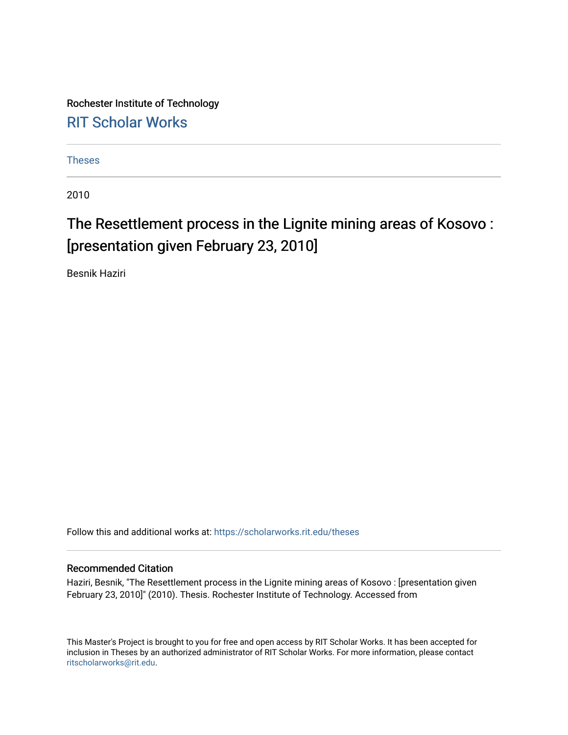Rochester Institute of Technology [RIT Scholar Works](https://scholarworks.rit.edu/)

[Theses](https://scholarworks.rit.edu/theses) 

2010

# The Resettlement process in the Lignite mining areas of Kosovo: [presentation given February 23, 2010]

Besnik Haziri

Follow this and additional works at: [https://scholarworks.rit.edu/theses](https://scholarworks.rit.edu/theses?utm_source=scholarworks.rit.edu%2Ftheses%2F6979&utm_medium=PDF&utm_campaign=PDFCoverPages) 

#### Recommended Citation

Haziri, Besnik, "The Resettlement process in the Lignite mining areas of Kosovo : [presentation given February 23, 2010]" (2010). Thesis. Rochester Institute of Technology. Accessed from

This Master's Project is brought to you for free and open access by RIT Scholar Works. It has been accepted for inclusion in Theses by an authorized administrator of RIT Scholar Works. For more information, please contact [ritscholarworks@rit.edu](mailto:ritscholarworks@rit.edu).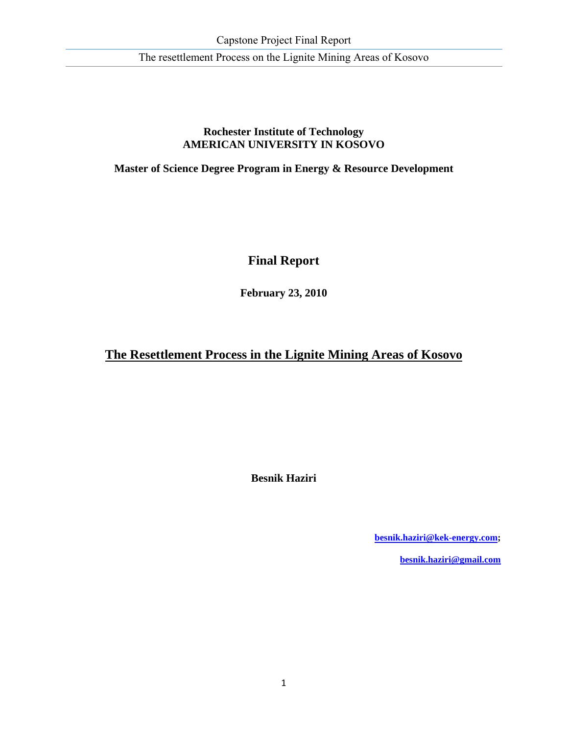#### **Rochester Institute of Technology AMERICAN UNIVERSITY IN KOSOVO**

**Master of Science Degree Program in Energy & Resource Development** 

## **Final Report**

**February 23, 2010** 

## **The Resettlement Process in the Lignite Mining Areas of Kosovo**

**Besnik Haziri** 

**besnik.haziri@kek-energy.com;** 

**besnik.haziri@gmail.com**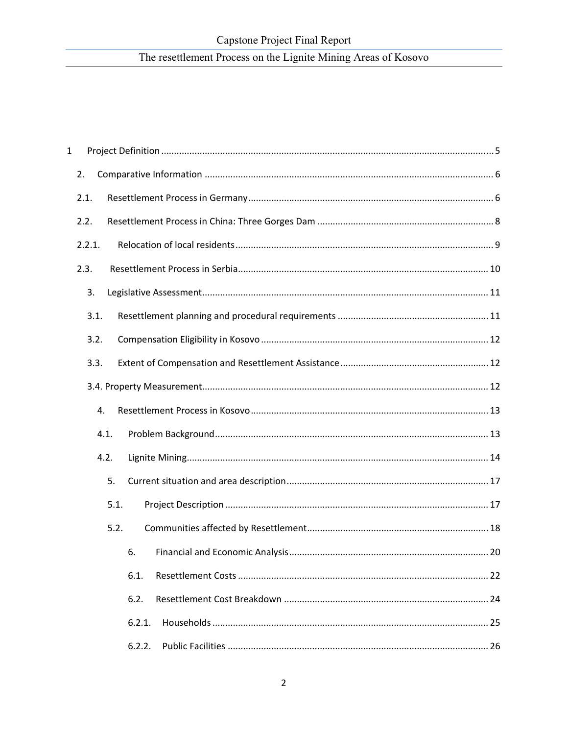| $\mathbf 1$ |        |        |
|-------------|--------|--------|
|             | 2.     |        |
|             | 2.1.   |        |
|             | 2.2.   |        |
|             | 2.2.1. |        |
|             | 2.3.   |        |
|             | 3.     |        |
|             | 3.1.   |        |
|             | 3.2.   |        |
|             | 3.3.   |        |
|             |        |        |
|             | 4.     |        |
|             | 4.1.   |        |
|             | 4.2.   |        |
|             | 5.     |        |
|             | 5.1.   |        |
|             | 5.2.   |        |
|             |        | 6.     |
|             |        | 6.1.   |
|             |        | 6.2.   |
|             |        | 6.2.1. |
|             |        | 6.2.2. |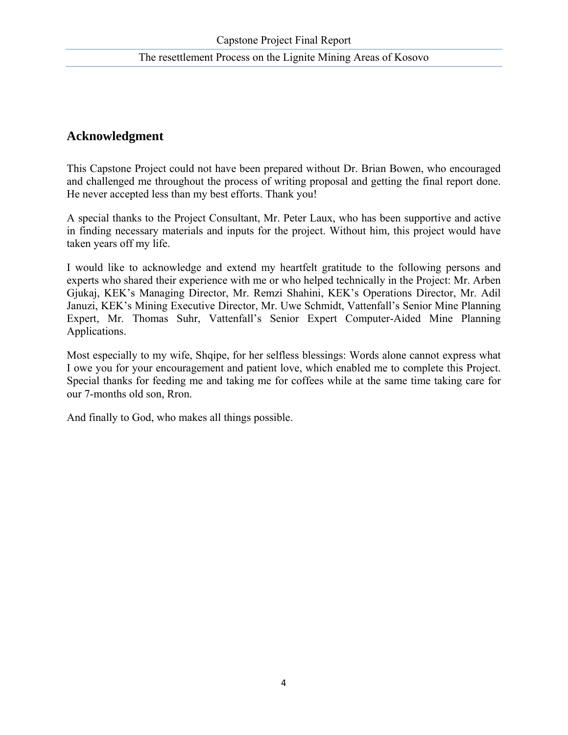## **Acknowledgment**

This Capstone Project could not have been prepared without Dr. Brian Bowen, who encouraged and challenged me throughout the process of writing proposal and getting the final report done. He never accepted less than my best efforts. Thank you!

A special thanks to the Project Consultant, Mr. Peter Laux, who has been supportive and active in finding necessary materials and inputs for the project. Without him, this project would have taken years off my life.

I would like to acknowledge and extend my heartfelt gratitude to the following persons and experts who shared their experience with me or who helped technically in the Project: Mr. Arben Gjukaj, KEK's Managing Director, Mr. Remzi Shahini, KEK's Operations Director, Mr. Adil Januzi, KEK's Mining Executive Director, Mr. Uwe Schmidt, Vattenfall's Senior Mine Planning Expert, Mr. Thomas Suhr, Vattenfall's Senior Expert Computer-Aided Mine Planning Applications.

Most especially to my wife, Shqipe, for her selfless blessings: Words alone cannot express what I owe you for your encouragement and patient love, which enabled me to complete this Project. Special thanks for feeding me and taking me for coffees while at the same time taking care for our 7-months old son, Rron.

And finally to God, who makes all things possible.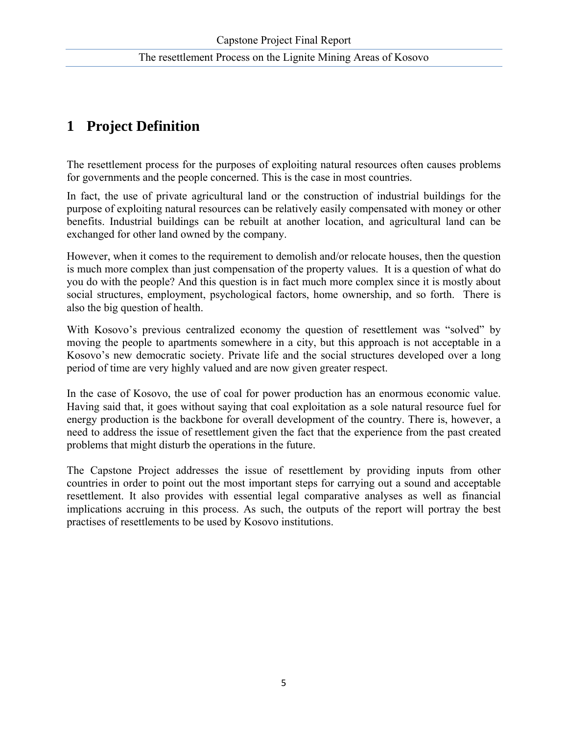## **1 Project Definition**

The resettlement process for the purposes of exploiting natural resources often causes problems for governments and the people concerned. This is the case in most countries.

In fact, the use of private agricultural land or the construction of industrial buildings for the purpose of exploiting natural resources can be relatively easily compensated with money or other benefits. Industrial buildings can be rebuilt at another location, and agricultural land can be exchanged for other land owned by the company.

However, when it comes to the requirement to demolish and/or relocate houses, then the question is much more complex than just compensation of the property values. It is a question of what do you do with the people? And this question is in fact much more complex since it is mostly about social structures, employment, psychological factors, home ownership, and so forth. There is also the big question of health.

With Kosovo's previous centralized economy the question of resettlement was "solved" by moving the people to apartments somewhere in a city, but this approach is not acceptable in a Kosovo's new democratic society. Private life and the social structures developed over a long period of time are very highly valued and are now given greater respect.

In the case of Kosovo, the use of coal for power production has an enormous economic value. Having said that, it goes without saying that coal exploitation as a sole natural resource fuel for energy production is the backbone for overall development of the country. There is, however, a need to address the issue of resettlement given the fact that the experience from the past created problems that might disturb the operations in the future.

The Capstone Project addresses the issue of resettlement by providing inputs from other countries in order to point out the most important steps for carrying out a sound and acceptable resettlement. It also provides with essential legal comparative analyses as well as financial implications accruing in this process. As such, the outputs of the report will portray the best practises of resettlements to be used by Kosovo institutions.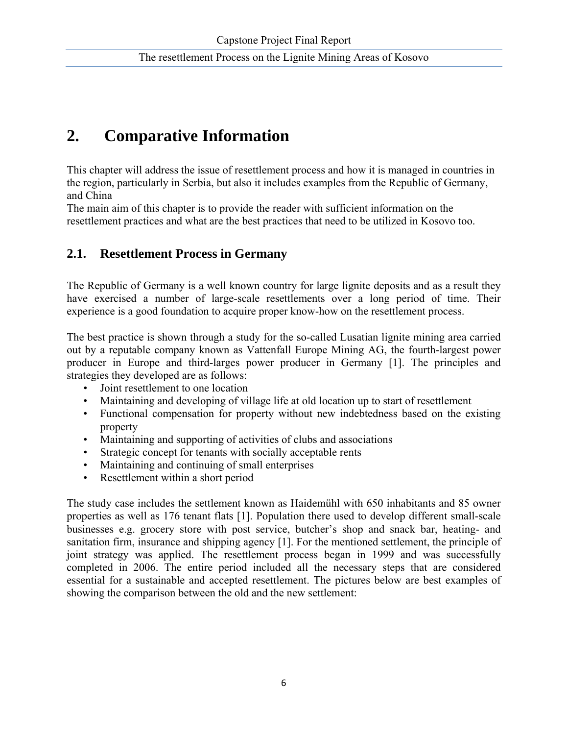# **2. Comparative Information**

This chapter will address the issue of resettlement process and how it is managed in countries in the region, particularly in Serbia, but also it includes examples from the Republic of Germany, and China

The main aim of this chapter is to provide the reader with sufficient information on the resettlement practices and what are the best practices that need to be utilized in Kosovo too.

## **2.1. Resettlement Process in Germany**

The Republic of Germany is a well known country for large lignite deposits and as a result they have exercised a number of large-scale resettlements over a long period of time. Their experience is a good foundation to acquire proper know-how on the resettlement process.

The best practice is shown through a study for the so-called Lusatian lignite mining area carried out by a reputable company known as Vattenfall Europe Mining AG, the fourth-largest power producer in Europe and third-larges power producer in Germany [1]. The principles and strategies they developed are as follows:

- Joint resettlement to one location
- Maintaining and developing of village life at old location up to start of resettlement
- Functional compensation for property without new indebtedness based on the existing property
- Maintaining and supporting of activities of clubs and associations
- Strategic concept for tenants with socially acceptable rents
- Maintaining and continuing of small enterprises
- Resettlement within a short period

The study case includes the settlement known as Haidemühl with 650 inhabitants and 85 owner properties as well as 176 tenant flats [1]. Population there used to develop different small-scale businesses e.g. grocery store with post service, butcher's shop and snack bar, heating- and sanitation firm, insurance and shipping agency [1]. For the mentioned settlement, the principle of joint strategy was applied. The resettlement process began in 1999 and was successfully completed in 2006. The entire period included all the necessary steps that are considered essential for a sustainable and accepted resettlement. The pictures below are best examples of showing the comparison between the old and the new settlement: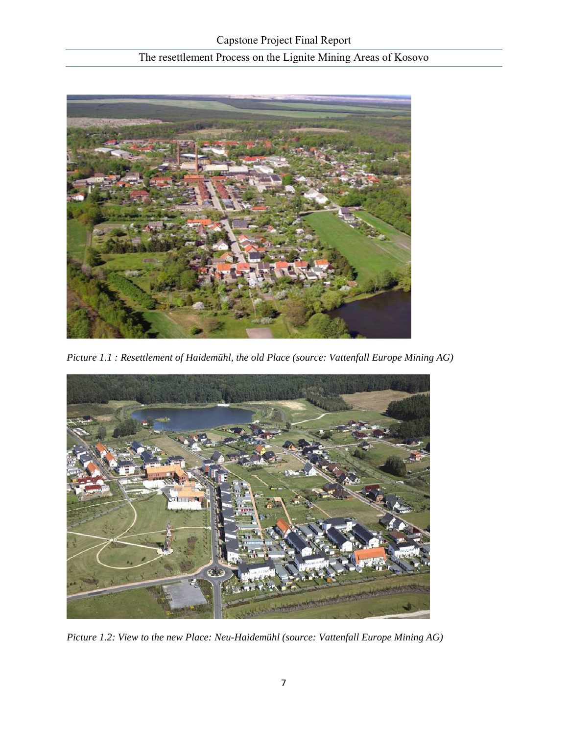

*Picture 1.1 : Resettlement of Haidemühl, the old Place (source: Vattenfall Europe Mining AG)* 



*Picture 1.2: View to the new Place: Neu-Haidemühl (source: Vattenfall Europe Mining AG)*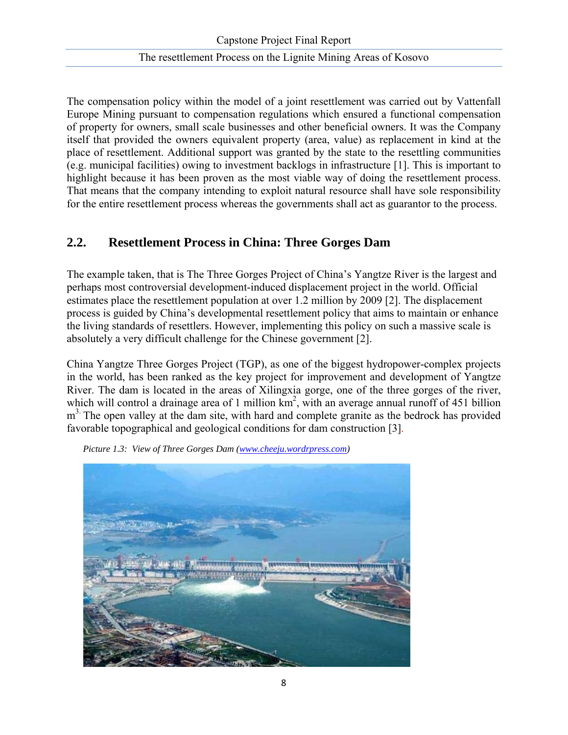The compensation policy within the model of a joint resettlement was carried out by Vattenfall Europe Mining pursuant to compensation regulations which ensured a functional compensation of property for owners, small scale businesses and other beneficial owners. It was the Company itself that provided the owners equivalent property (area, value) as replacement in kind at the place of resettlement. Additional support was granted by the state to the resettling communities (e.g. municipal facilities) owing to investment backlogs in infrastructure [1]. This is important to highlight because it has been proven as the most viable way of doing the resettlement process. That means that the company intending to exploit natural resource shall have sole responsibility for the entire resettlement process whereas the governments shall act as guarantor to the process.

## **2.2. Resettlement Process in China: Three Gorges Dam**

The example taken, that is The Three Gorges Project of China's Yangtze River is the largest and perhaps most controversial development-induced displacement project in the world. Official estimates place the resettlement population at over 1.2 million by 2009 [2]. The displacement process is guided by China's developmental resettlement policy that aims to maintain or enhance the living standards of resettlers. However, implementing this policy on such a massive scale is absolutely a very difficult challenge for the Chinese government [2].

China Yangtze Three Gorges Project (TGP), as one of the biggest hydropower-complex projects in the world, has been ranked as the key project for improvement and development of Yangtze River. The dam is located in the areas of Xilingxia gorge, one of the three gorges of the river, which will control a drainage area of 1 million  $km^2$ , with an average annual runoff of 451 billion  $m<sup>3</sup>$ . The open valley at the dam site, with hard and complete granite as the bedrock has provided favorable topographical and geological conditions for dam construction [3].



 *Picture 1.3: View of Three Gorges Dam (www.cheeju.wordrpress.com)*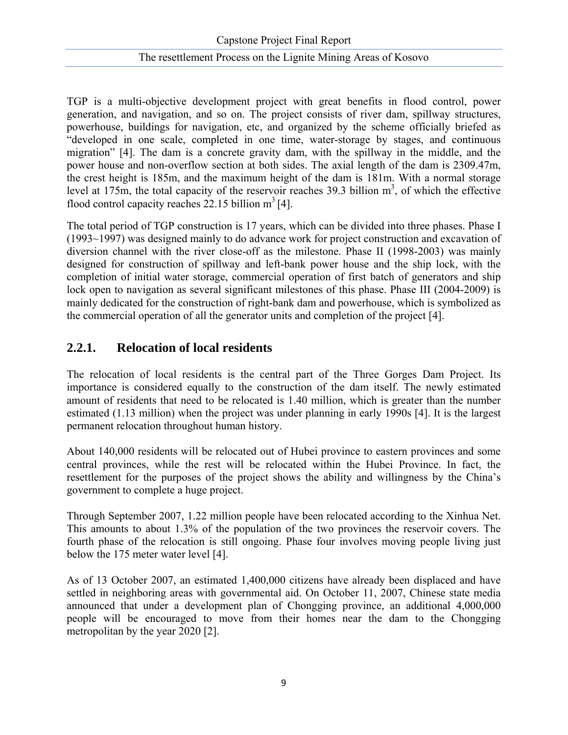TGP is a multi-objective development project with great benefits in flood control, power generation, and navigation, and so on. The project consists of river dam, spillway structures, powerhouse, buildings for navigation, etc, and organized by the scheme officially briefed as "developed in one scale, completed in one time, water-storage by stages, and continuous migration" [4]. The dam is a concrete gravity dam, with the spillway in the middle, and the power house and non-overflow section at both sides. The axial length of the dam is 2309.47m, the crest height is 185m, and the maximum height of the dam is 181m. With a normal storage level at 175m, the total capacity of the reservoir reaches 39.3 billion  $m<sup>3</sup>$ , of which the effective flood control capacity reaches 22.15 billion  $m^3$  [4].

The total period of TGP construction is 17 years, which can be divided into three phases. Phase I (1993~1997) was designed mainly to do advance work for project construction and excavation of diversion channel with the river close-off as the milestone. Phase II (1998-2003) was mainly designed for construction of spillway and left-bank power house and the ship lock, with the completion of initial water storage, commercial operation of first batch of generators and ship lock open to navigation as several significant milestones of this phase. Phase III (2004-2009) is mainly dedicated for the construction of right-bank dam and powerhouse, which is symbolized as the commercial operation of all the generator units and completion of the project [4].

## **2.2.1. Relocation of local residents**

The relocation of local residents is the central part of the Three Gorges Dam Project. Its importance is considered equally to the construction of the dam itself. The newly estimated amount of residents that need to be relocated is 1.40 million, which is greater than the number estimated (1.13 million) when the project was under planning in early 1990s [4]. It is the largest permanent relocation throughout human history.

About 140,000 residents will be relocated out of Hubei province to eastern provinces and some central provinces, while the rest will be relocated within the Hubei Province. In fact, the resettlement for the purposes of the project shows the ability and willingness by the China's government to complete a huge project.

Through September 2007, 1.22 million people have been relocated according to the Xinhua Net. This amounts to about 1.3% of the population of the two provinces the reservoir covers. The fourth phase of the relocation is still ongoing. Phase four involves moving people living just below the 175 meter water level [4].

As of 13 October 2007, an estimated 1,400,000 citizens have already been displaced and have settled in neighboring areas with governmental aid. On October 11, 2007, Chinese state media announced that under a development plan of Chongging province, an additional 4,000,000 people will be encouraged to move from their homes near the dam to the Chongging metropolitan by the year 2020 [2].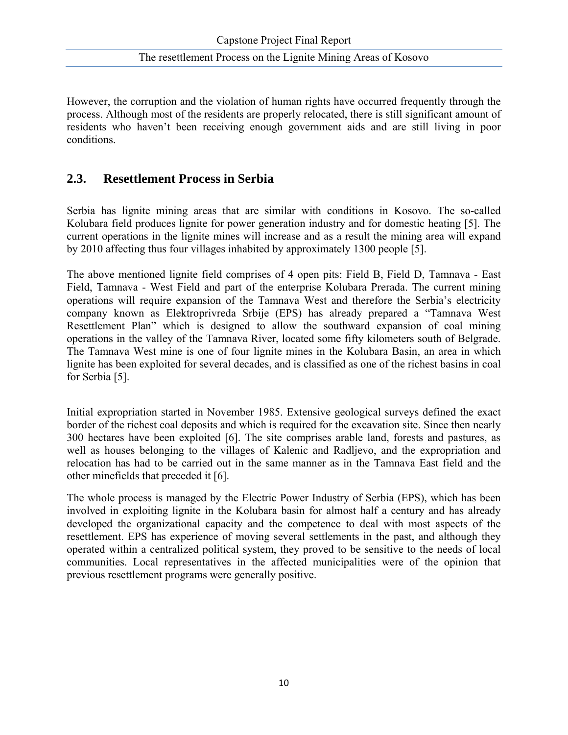However, the corruption and the violation of human rights have occurred frequently through the process. Although most of the residents are properly relocated, there is still significant amount of residents who haven't been receiving enough government aids and are still living in poor conditions.

### **2.3. Resettlement Process in Serbia**

Serbia has lignite mining areas that are similar with conditions in Kosovo. The so-called Kolubara field produces lignite for power generation industry and for domestic heating [5]. The current operations in the lignite mines will increase and as a result the mining area will expand by 2010 affecting thus four villages inhabited by approximately 1300 people [5].

The above mentioned lignite field comprises of 4 open pits: Field B, Field D, Tamnava - East Field, Tamnava - West Field and part of the enterprise Kolubara Prerada. The current mining operations will require expansion of the Tamnava West and therefore the Serbia's electricity company known as Elektroprivreda Srbije (EPS) has already prepared a "Tamnava West Resettlement Plan" which is designed to allow the southward expansion of coal mining operations in the valley of the Tamnava River, located some fifty kilometers south of Belgrade. The Tamnava West mine is one of four lignite mines in the Kolubara Basin, an area in which lignite has been exploited for several decades, and is classified as one of the richest basins in coal for Serbia [5].

Initial expropriation started in November 1985. Extensive geological surveys defined the exact border of the richest coal deposits and which is required for the excavation site. Since then nearly 300 hectares have been exploited [6]. The site comprises arable land, forests and pastures, as well as houses belonging to the villages of Kalenic and Radljevo, and the expropriation and relocation has had to be carried out in the same manner as in the Tamnava East field and the other minefields that preceded it [6].

The whole process is managed by the Electric Power Industry of Serbia (EPS), which has been involved in exploiting lignite in the Kolubara basin for almost half a century and has already developed the organizational capacity and the competence to deal with most aspects of the resettlement. EPS has experience of moving several settlements in the past, and although they operated within a centralized political system, they proved to be sensitive to the needs of local communities. Local representatives in the affected municipalities were of the opinion that previous resettlement programs were generally positive.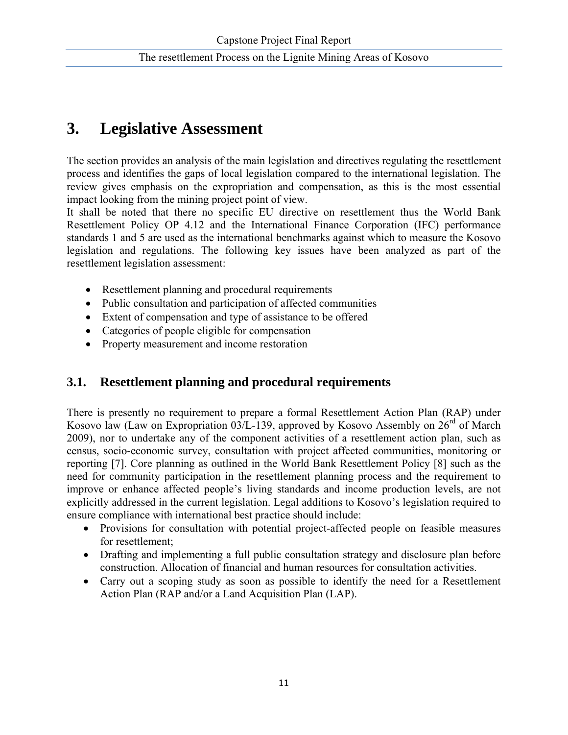# **3. Legislative Assessment**

The section provides an analysis of the main legislation and directives regulating the resettlement process and identifies the gaps of local legislation compared to the international legislation. The review gives emphasis on the expropriation and compensation, as this is the most essential impact looking from the mining project point of view.

It shall be noted that there no specific EU directive on resettlement thus the World Bank Resettlement Policy OP 4.12 and the International Finance Corporation (IFC) performance standards 1 and 5 are used as the international benchmarks against which to measure the Kosovo legislation and regulations. The following key issues have been analyzed as part of the resettlement legislation assessment:

- Resettlement planning and procedural requirements
- Public consultation and participation of affected communities
- Extent of compensation and type of assistance to be offered
- Categories of people eligible for compensation
- Property measurement and income restoration

## **3.1. Resettlement planning and procedural requirements**

There is presently no requirement to prepare a formal Resettlement Action Plan (RAP) under Kosovo law (Law on Expropriation 03/L-139, approved by Kosovo Assembly on  $26<sup>rd</sup>$  of March 2009), nor to undertake any of the component activities of a resettlement action plan, such as census, socio-economic survey, consultation with project affected communities, monitoring or reporting [7]. Core planning as outlined in the World Bank Resettlement Policy [8] such as the need for community participation in the resettlement planning process and the requirement to improve or enhance affected people's living standards and income production levels, are not explicitly addressed in the current legislation. Legal additions to Kosovo's legislation required to ensure compliance with international best practice should include:

- Provisions for consultation with potential project-affected people on feasible measures for resettlement;
- Drafting and implementing a full public consultation strategy and disclosure plan before construction. Allocation of financial and human resources for consultation activities.
- Carry out a scoping study as soon as possible to identify the need for a Resettlement Action Plan (RAP and/or a Land Acquisition Plan (LAP).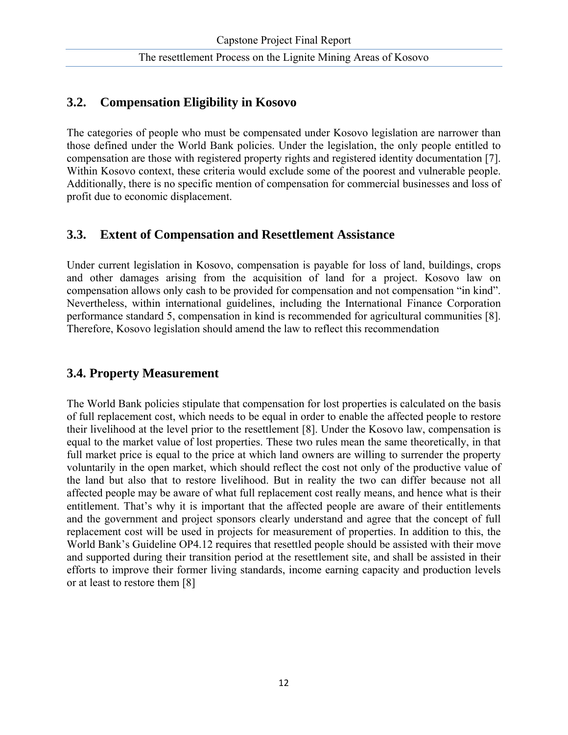## **3.2. Compensation Eligibility in Kosovo**

The categories of people who must be compensated under Kosovo legislation are narrower than those defined under the World Bank policies. Under the legislation, the only people entitled to compensation are those with registered property rights and registered identity documentation [7]. Within Kosovo context, these criteria would exclude some of the poorest and vulnerable people. Additionally, there is no specific mention of compensation for commercial businesses and loss of profit due to economic displacement.

## **3.3. Extent of Compensation and Resettlement Assistance**

Under current legislation in Kosovo, compensation is payable for loss of land, buildings, crops and other damages arising from the acquisition of land for a project. Kosovo law on compensation allows only cash to be provided for compensation and not compensation "in kind". Nevertheless, within international guidelines, including the International Finance Corporation performance standard 5, compensation in kind is recommended for agricultural communities [8]. Therefore, Kosovo legislation should amend the law to reflect this recommendation

## **3.4. Property Measurement**

The World Bank policies stipulate that compensation for lost properties is calculated on the basis of full replacement cost, which needs to be equal in order to enable the affected people to restore their livelihood at the level prior to the resettlement [8]. Under the Kosovo law, compensation is equal to the market value of lost properties. These two rules mean the same theoretically, in that full market price is equal to the price at which land owners are willing to surrender the property voluntarily in the open market, which should reflect the cost not only of the productive value of the land but also that to restore livelihood. But in reality the two can differ because not all affected people may be aware of what full replacement cost really means, and hence what is their entitlement. That's why it is important that the affected people are aware of their entitlements and the government and project sponsors clearly understand and agree that the concept of full replacement cost will be used in projects for measurement of properties. In addition to this, the World Bank's Guideline OP4.12 requires that resettled people should be assisted with their move and supported during their transition period at the resettlement site, and shall be assisted in their efforts to improve their former living standards, income earning capacity and production levels or at least to restore them [8]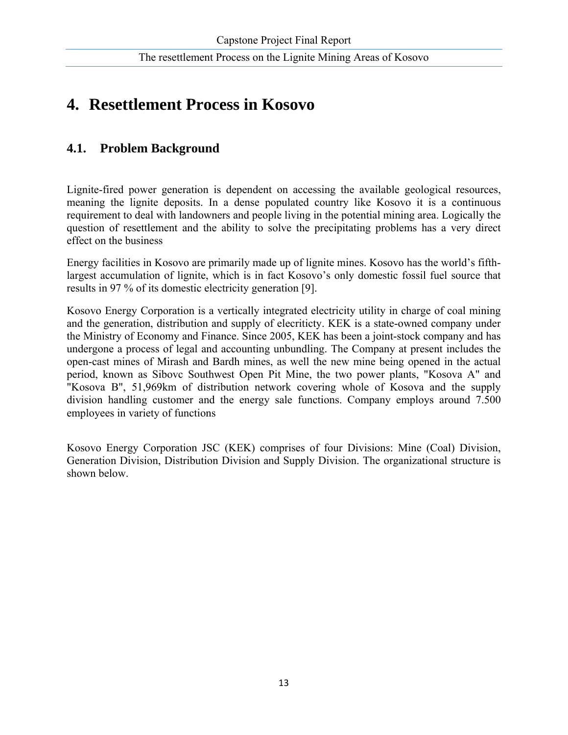# **4. Resettlement Process in Kosovo**

## **4.1. Problem Background**

Lignite-fired power generation is dependent on accessing the available geological resources, meaning the lignite deposits. In a dense populated country like Kosovo it is a continuous requirement to deal with landowners and people living in the potential mining area. Logically the question of resettlement and the ability to solve the precipitating problems has a very direct effect on the business

Energy facilities in Kosovo are primarily made up of lignite mines. Kosovo has the world's fifthlargest accumulation of lignite, which is in fact Kosovo's only domestic fossil fuel source that results in 97 % of its domestic electricity generation [9].

Kosovo Energy Corporation is a vertically integrated electricity utility in charge of coal mining and the generation, distribution and supply of elecriticty. KEK is a state-owned company under the Ministry of Economy and Finance. Since 2005, KEK has been a joint-stock company and has undergone a process of legal and accounting unbundling. The Company at present includes the open-cast mines of Mirash and Bardh mines, as well the new mine being opened in the actual period, known as Sibovc Southwest Open Pit Mine, the two power plants, "Kosova A" and "Kosova B", 51,969km of distribution network covering whole of Kosova and the supply division handling customer and the energy sale functions. Company employs around 7.500 employees in variety of functions

Kosovo Energy Corporation JSC (KEK) comprises of four Divisions: Mine (Coal) Division, Generation Division, Distribution Division and Supply Division. The organizational structure is shown below.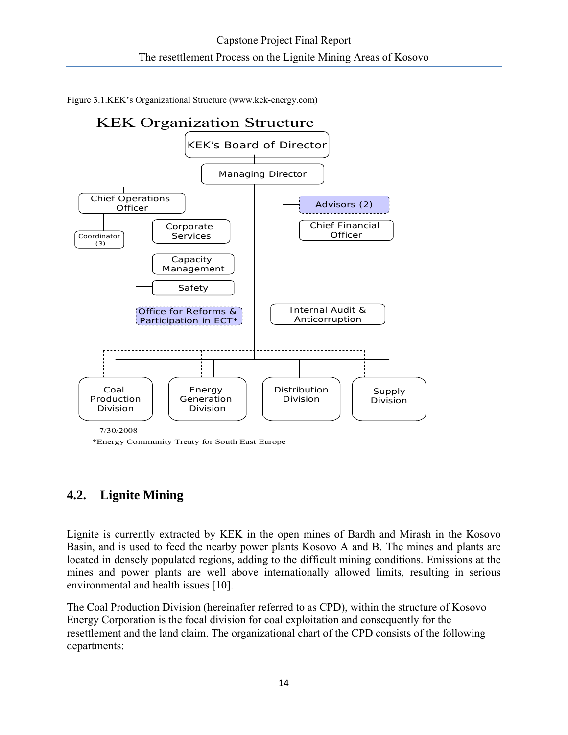Figure 3.1.KEK's Organizational Structure (www.kek-energy.com)



\*Energy Community Treaty for South East Europe

## **4.2. Lignite Mining**

Lignite is currently extracted by KEK in the open mines of Bardh and Mirash in the Kosovo Basin, and is used to feed the nearby power plants Kosovo A and B. The mines and plants are located in densely populated regions, adding to the difficult mining conditions. Emissions at the mines and power plants are well above internationally allowed limits, resulting in serious environmental and health issues [10].

The Coal Production Division (hereinafter referred to as CPD), within the structure of Kosovo Energy Corporation is the focal division for coal exploitation and consequently for the resettlement and the land claim. The organizational chart of the CPD consists of the following departments: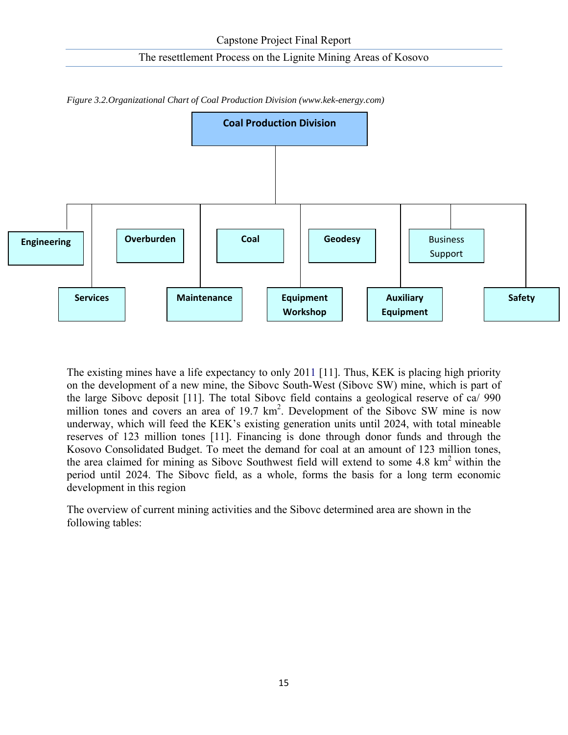

*Figure 3.2.Organizational Chart of Coal Production Division (www.kek-energy.com)* 

The existing mines have a life expectancy to only 2011 [11]. Thus, KEK is placing high priority on the development of a new mine, the Sibovc South-West (Sibovc SW) mine, which is part of the large Sibovc deposit [11]. The total Sibovc field contains a geological reserve of ca/ 990 million tones and covers an area of 19.7 km<sup>2</sup>. Development of the Sibovc SW mine is now underway, which will feed the KEK's existing generation units until 2024, with total mineable reserves of 123 million tones [11]. Financing is done through donor funds and through the Kosovo Consolidated Budget. To meet the demand for coal at an amount of 123 million tones, the area claimed for mining as Sibovc Southwest field will extend to some 4.8  $km<sup>2</sup>$  within the period until 2024. The Sibovc field, as a whole, forms the basis for a long term economic development in this region

The overview of current mining activities and the Sibovc determined area are shown in the following tables: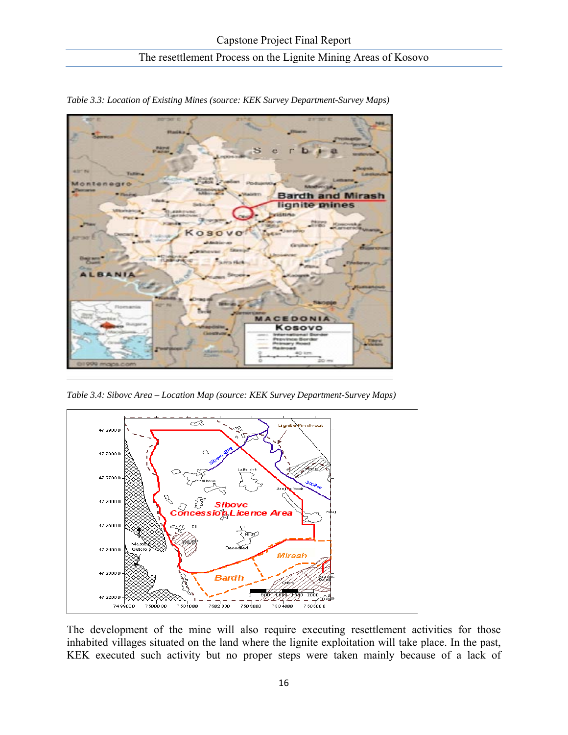

*Table 3.3: Location of Existing Mines (source: KEK Survey Department-Survey Maps)*

*Table 3.4: Sibovc Area – Location Map (source: KEK Survey Department-Survey Maps)* 



The development of the mine will also require executing resettlement activities for those inhabited villages situated on the land where the lignite exploitation will take place. In the past, KEK executed such activity but no proper steps were taken mainly because of a lack of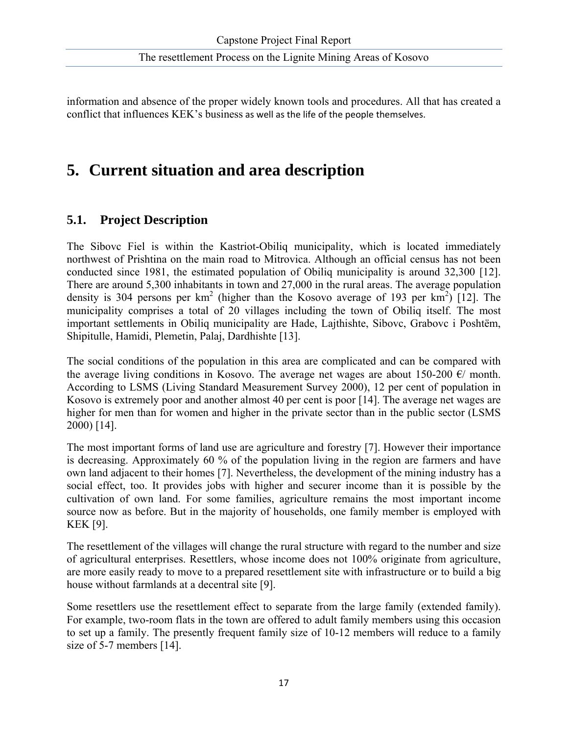information and absence of the proper widely known tools and procedures. All that has created a conflict that influences KEK's business as well as the life of the people themselves.

# **5. Current situation and area description**

## **5.1. Project Description**

The Sibovc Fiel is within the Kastriot-Obiliq municipality, which is located immediately northwest of Prishtina on the main road to Mitrovica. Although an official census has not been conducted since 1981, the estimated population of Obiliq municipality is around 32,300 [12]. There are around 5,300 inhabitants in town and 27,000 in the rural areas. The average population density is 304 persons per  $km^2$  (higher than the Kosovo average of 193 per  $km^2$ ) [12]. The municipality comprises a total of 20 villages including the town of Obiliq itself. The most important settlements in Obiliq municipality are Hade, Lajthishte, Sibovc, Grabovc i Poshtëm, Shipitulle, Hamidi, Plemetin, Palaj, Dardhishte [13].

The social conditions of the population in this area are complicated and can be compared with the average living conditions in Kosovo. The average net wages are about 150-200  $\epsilon$ / month. According to LSMS (Living Standard Measurement Survey 2000), 12 per cent of population in Kosovo is extremely poor and another almost 40 per cent is poor [14]. The average net wages are higher for men than for women and higher in the private sector than in the public sector (LSMS 2000) [14].

The most important forms of land use are agriculture and forestry [7]. However their importance is decreasing. Approximately 60 % of the population living in the region are farmers and have own land adjacent to their homes [7]. Nevertheless, the development of the mining industry has a social effect, too. It provides jobs with higher and securer income than it is possible by the cultivation of own land. For some families, agriculture remains the most important income source now as before. But in the majority of households, one family member is employed with KEK [9].

The resettlement of the villages will change the rural structure with regard to the number and size of agricultural enterprises. Resettlers, whose income does not 100% originate from agriculture, are more easily ready to move to a prepared resettlement site with infrastructure or to build a big house without farmlands at a decentral site [9].

Some resettlers use the resettlement effect to separate from the large family (extended family). For example, two-room flats in the town are offered to adult family members using this occasion to set up a family. The presently frequent family size of 10-12 members will reduce to a family size of 5-7 members [14].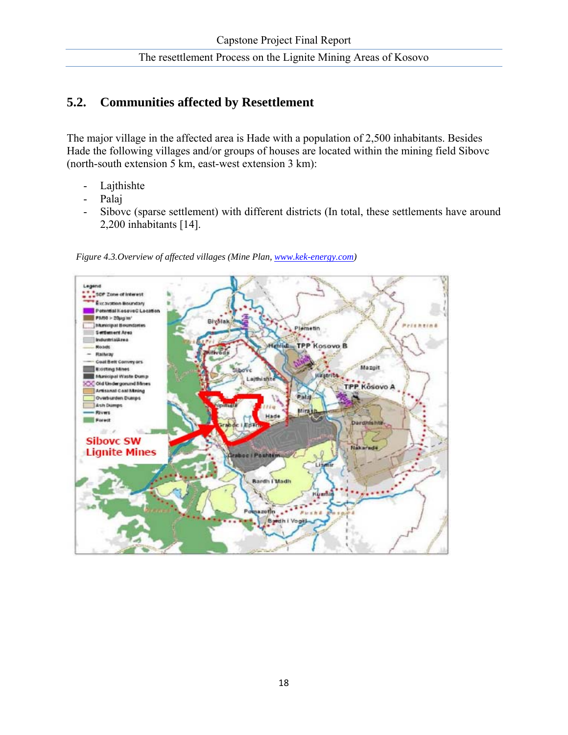## **5.2. Communities affected by Resettlement**

The major village in the affected area is Hade with a population of 2,500 inhabitants. Besides Hade the following villages and/or groups of houses are located within the mining field Sibovc (north-south extension 5 km, east-west extension 3 km):

- Lajthishte
- Palaj
- Sibovc (sparse settlement) with different districts (In total, these settlements have around 2,200 inhabitants [14].



 *Figure 4.3.Overview of affected villages (Mine Plan, www.kek-energy.com)*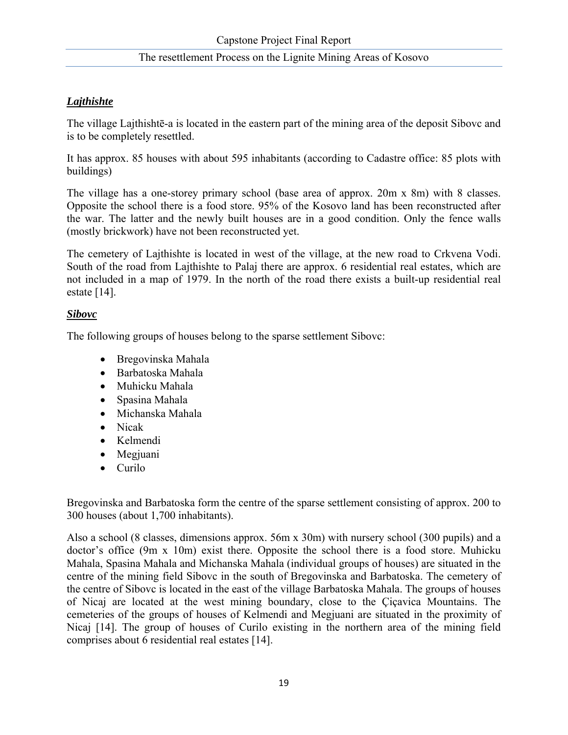#### *Lajthishte*

The village Lajthishtē-a is located in the eastern part of the mining area of the deposit Sibovc and is to be completely resettled.

It has approx. 85 houses with about 595 inhabitants (according to Cadastre office: 85 plots with buildings)

The village has a one-storey primary school (base area of approx. 20m x 8m) with 8 classes. Opposite the school there is a food store. 95% of the Kosovo land has been reconstructed after the war. The latter and the newly built houses are in a good condition. Only the fence walls (mostly brickwork) have not been reconstructed yet.

The cemetery of Lajthishte is located in west of the village, at the new road to Crkvena Vodi. South of the road from Lajthishte to Palaj there are approx. 6 residential real estates, which are not included in a map of 1979. In the north of the road there exists a built-up residential real estate [14].

#### *Sibovc*

The following groups of houses belong to the sparse settlement Sibovc:

- Bregovinska Mahala
- Barbatoska Mahala
- Muhicku Mahala
- Spasina Mahala
- Michanska Mahala
- Nicak
- Kelmendi
- Megjuani
- Curilo

Bregovinska and Barbatoska form the centre of the sparse settlement consisting of approx. 200 to 300 houses (about 1,700 inhabitants).

Also a school (8 classes, dimensions approx. 56m x 30m) with nursery school (300 pupils) and a doctor's office (9m x 10m) exist there. Opposite the school there is a food store. Muhicku Mahala, Spasina Mahala and Michanska Mahala (individual groups of houses) are situated in the centre of the mining field Sibovc in the south of Bregovinska and Barbatoska. The cemetery of the centre of Sibovc is located in the east of the village Barbatoska Mahala. The groups of houses of Nicaj are located at the west mining boundary, close to the Çiçavica Mountains. The cemeteries of the groups of houses of Kelmendi and Megjuani are situated in the proximity of Nicaj [14]. The group of houses of Curilo existing in the northern area of the mining field comprises about 6 residential real estates [14].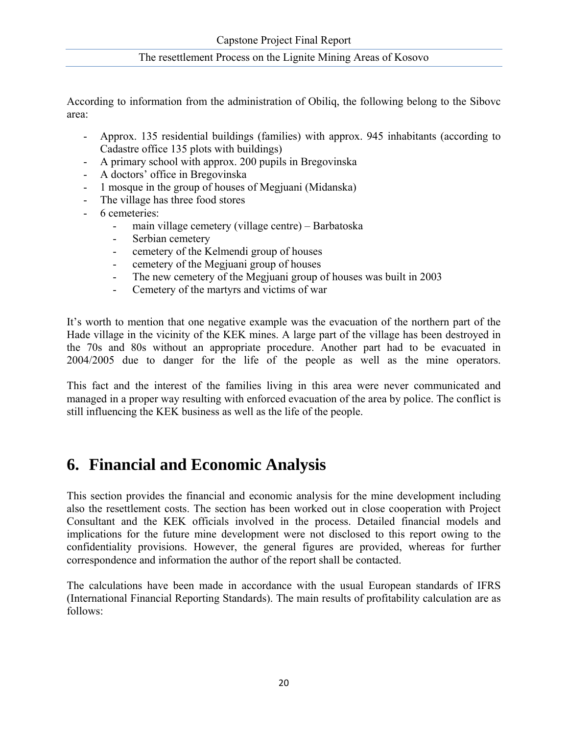According to information from the administration of Obiliq, the following belong to the Sibovc area:

- Approx. 135 residential buildings (families) with approx. 945 inhabitants (according to Cadastre office 135 plots with buildings)
- A primary school with approx. 200 pupils in Bregovinska
- A doctors' office in Bregovinska
- 1 mosque in the group of houses of Megjuani (Midanska)
- The village has three food stores
- 6 cemeteries:
	- main village cemetery (village centre) Barbatoska
	- Serbian cemetery
	- cemetery of the Kelmendi group of houses
	- cemetery of the Megjuani group of houses
	- The new cemetery of the Megjuani group of houses was built in 2003
	- Cemetery of the martyrs and victims of war

It's worth to mention that one negative example was the evacuation of the northern part of the Hade village in the vicinity of the KEK mines. A large part of the village has been destroyed in the 70s and 80s without an appropriate procedure. Another part had to be evacuated in 2004/2005 due to danger for the life of the people as well as the mine operators.

This fact and the interest of the families living in this area were never communicated and managed in a proper way resulting with enforced evacuation of the area by police. The conflict is still influencing the KEK business as well as the life of the people.

## **6. Financial and Economic Analysis**

This section provides the financial and economic analysis for the mine development including also the resettlement costs. The section has been worked out in close cooperation with Project Consultant and the KEK officials involved in the process. Detailed financial models and implications for the future mine development were not disclosed to this report owing to the confidentiality provisions. However, the general figures are provided, whereas for further correspondence and information the author of the report shall be contacted.

The calculations have been made in accordance with the usual European standards of IFRS (International Financial Reporting Standards). The main results of profitability calculation are as follows: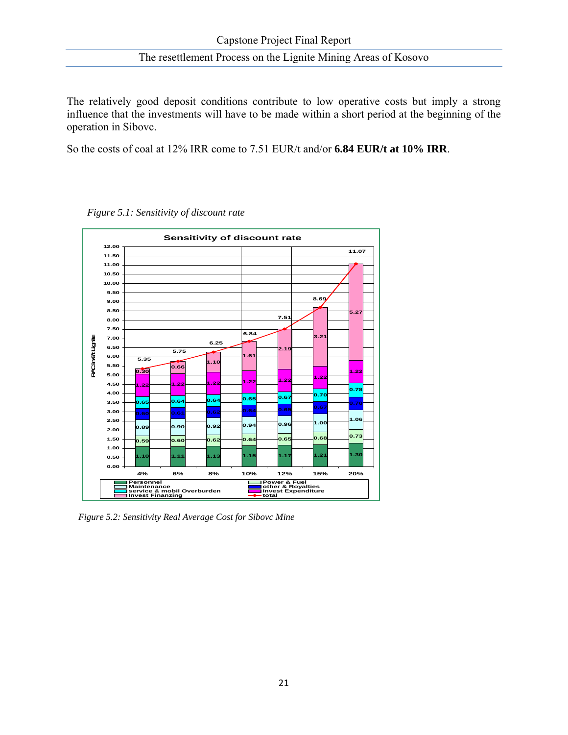The relatively good deposit conditions contribute to low operative costs but imply a strong influence that the investments will have to be made within a short period at the beginning of the operation in Sibovc.

So the costs of coal at 12% IRR come to 7.51 EUR/t and/or **6.84 EUR/t at 10% IRR**.



 *Figure 5.1: Sensitivity of discount rate* 

 *Figure 5.2: Sensitivity Real Average Cost for Sibovc Mine*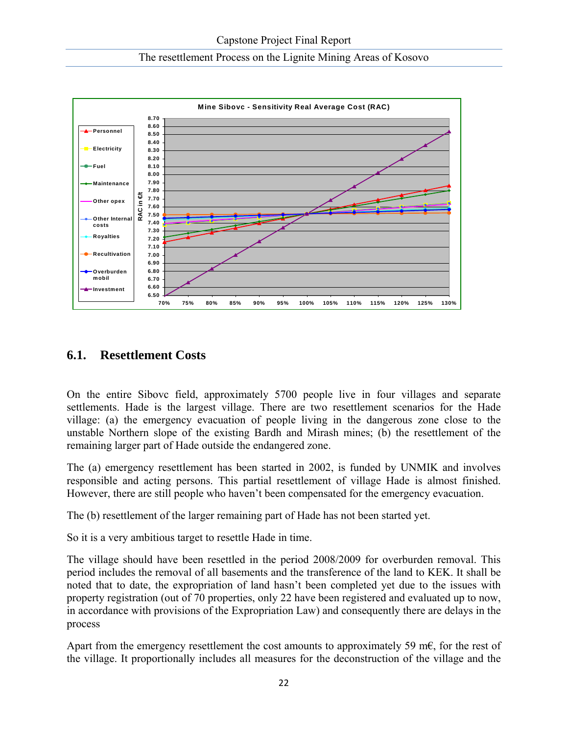



## **6.1. Resettlement Costs**

On the entire Sibovc field, approximately 5700 people live in four villages and separate settlements. Hade is the largest village. There are two resettlement scenarios for the Hade village: (a) the emergency evacuation of people living in the dangerous zone close to the unstable Northern slope of the existing Bardh and Mirash mines; (b) the resettlement of the remaining larger part of Hade outside the endangered zone.

The (a) emergency resettlement has been started in 2002, is funded by UNMIK and involves responsible and acting persons. This partial resettlement of village Hade is almost finished. However, there are still people who haven't been compensated for the emergency evacuation.

The (b) resettlement of the larger remaining part of Hade has not been started yet.

So it is a very ambitious target to resettle Hade in time.

The village should have been resettled in the period 2008/2009 for overburden removal. This period includes the removal of all basements and the transference of the land to KEK. It shall be noted that to date, the expropriation of land hasn't been completed yet due to the issues with property registration (out of 70 properties, only 22 have been registered and evaluated up to now, in accordance with provisions of the Expropriation Law) and consequently there are delays in the process

Apart from the emergency resettlement the cost amounts to approximately 59 m $\epsilon$ , for the rest of the village. It proportionally includes all measures for the deconstruction of the village and the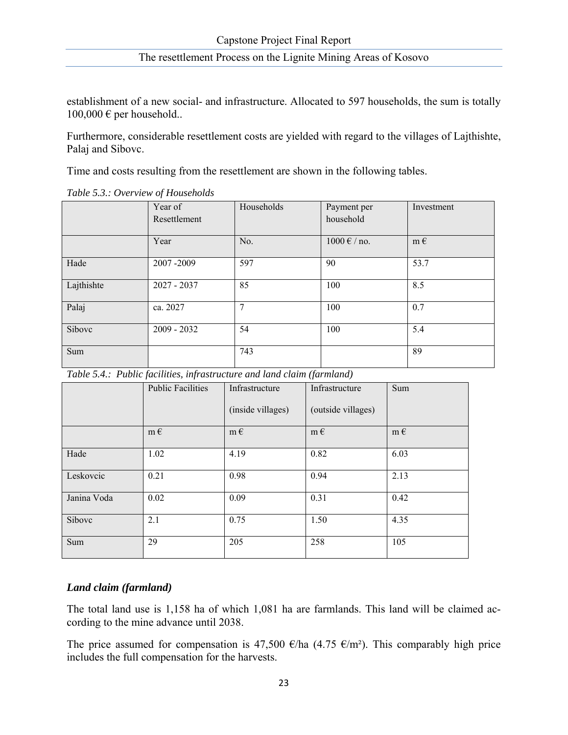establishment of a new social- and infrastructure. Allocated to 597 households, the sum is totally  $100,000 \in$  per household..

Furthermore, considerable resettlement costs are yielded with regard to the villages of Lajthishte, Palaj and Sibovc.

Time and costs resulting from the resettlement are shown in the following tables.

|            | Year of<br>Resettlement | Households | Payment per<br>household          | Investment |
|------------|-------------------------|------------|-----------------------------------|------------|
|            | Year                    | No.        | $1000 \text{ } \in / \text{ no.}$ | $m \in$    |
| Hade       | 2007-2009               | 597        | 90                                | 53.7       |
| Lajthishte | 2027 - 2037             | 85         | 100                               | 8.5        |
| Palaj      | ca. 2027                | 7          | 100                               | 0.7        |
| Sibovc     | $2009 - 2032$           | 54         | 100                               | 5.4        |
| Sum        |                         | 743        |                                   | 89         |

*Table 5.3.: Overview of Households* 

*Table 5.4.: Public facilities, infrastructure and land claim (farmland)* 

|             | <b>Public Facilities</b> | Infrastructure    | Infrastructure     | Sum     |
|-------------|--------------------------|-------------------|--------------------|---------|
|             |                          | (inside villages) | (outside villages) |         |
|             | $m \in$                  | $m \in$           | $m \in$            | $m \in$ |
| Hade        | 1.02                     | 4.19              | 0.82               | 6.03    |
| Leskovcic   | 0.21                     | 0.98              | 0.94               | 2.13    |
| Janina Voda | 0.02                     | 0.09              | 0.31               | 0.42    |
| Sibovc      | 2.1                      | 0.75              | 1.50               | 4.35    |
| Sum         | 29                       | 205               | 258                | 105     |

#### *Land claim (farmland)*

The total land use is 1,158 ha of which 1,081 ha are farmlands. This land will be claimed according to the mine advance until 2038.

The price assumed for compensation is 47,500 €/ha (4.75 €/m<sup>2</sup>). This comparably high price includes the full compensation for the harvests.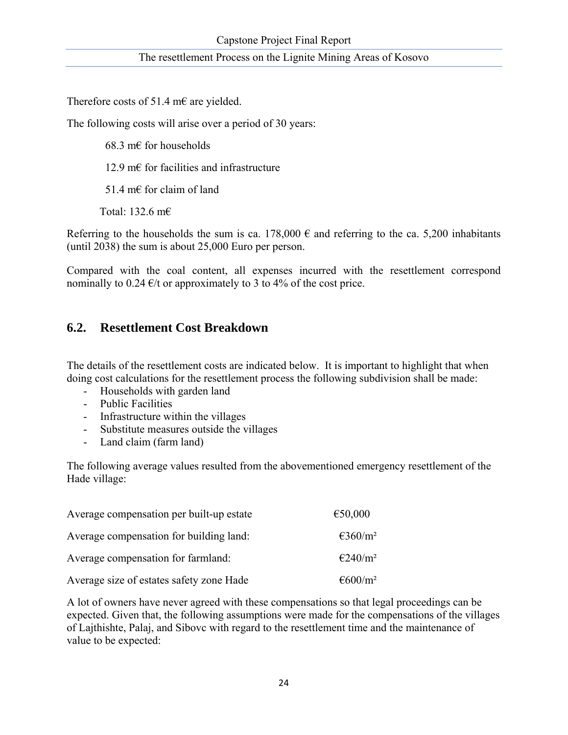Therefore costs of 51.4 m€ are yielded.

The following costs will arise over a period of 30 years:

68.3 m $\epsilon$  for households

12.9 m€ for facilities and infrastructure

51.4 m€ for claim of land

Total: 132.6 m€

Referring to the households the sum is ca. 178,000  $\epsilon$  and referring to the ca. 5,200 inhabitants (until 2038) the sum is about 25,000 Euro per person.

Compared with the coal content, all expenses incurred with the resettlement correspond nominally to 0.24  $\epsilon$ /t or approximately to 3 to 4% of the cost price.

## **6.2. Resettlement Cost Breakdown**

The details of the resettlement costs are indicated below. It is important to highlight that when doing cost calculations for the resettlement process the following subdivision shall be made:

- Households with garden land
- Public Facilities
- Infrastructure within the villages
- Substitute measures outside the villages
- Land claim (farm land)

The following average values resulted from the abovementioned emergency resettlement of the Hade village:

| Average compensation per built-up estate | €50,000                       |
|------------------------------------------|-------------------------------|
| Average compensation for building land:  | $\epsilon$ 360/m <sup>2</sup> |
| Average compensation for farmland:       | $\epsilon$ 240/m <sup>2</sup> |
| Average size of estates safety zone Hade | $\epsilon$ 600/m <sup>2</sup> |

A lot of owners have never agreed with these compensations so that legal proceedings can be expected. Given that, the following assumptions were made for the compensations of the villages of Lajthishte, Palaj, and Sibovc with regard to the resettlement time and the maintenance of value to be expected: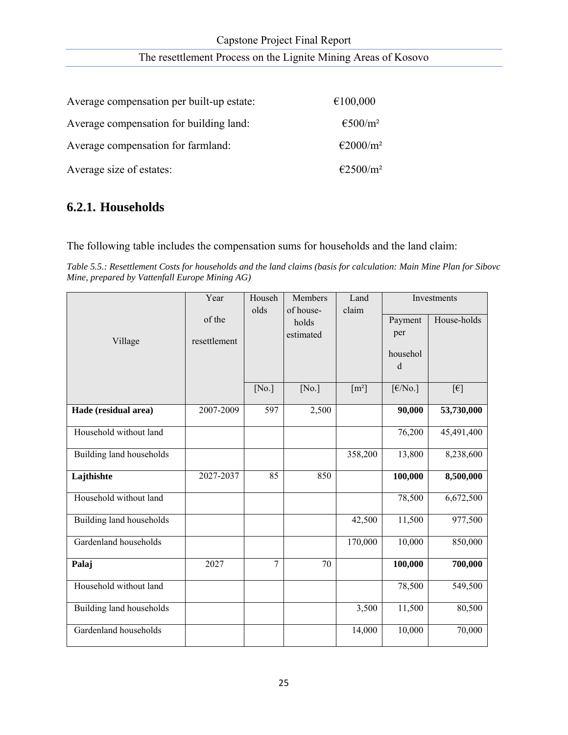| Average compensation per built-up estate: | €100,000                      |
|-------------------------------------------|-------------------------------|
| Average compensation for building land:   | $\epsilon$ 500/m <sup>2</sup> |
| Average compensation for farmland:        | €2000/m <sup>2</sup>          |
| Average size of estates:                  | €2500/m <sup>2</sup>          |

## **6.2.1. Households**

The following table includes the compensation sums for households and the land claim:

*Table 5.5.: Resettlement Costs for households and the land claims (basis for calculation: Main Mine Plan for Sibovc Mine, prepared by Vattenfall Europe Mining AG)* 

|                          | Year         | Househ | Members   | Land                | Investments                         |                |  |
|--------------------------|--------------|--------|-----------|---------------------|-------------------------------------|----------------|--|
|                          | of the       | olds   | of house- | claim               | Payment                             | House-holds    |  |
|                          |              |        | holds     |                     | per                                 |                |  |
| Village                  | resettlement |        | estimated |                     |                                     |                |  |
|                          |              |        |           |                     | househol                            |                |  |
|                          |              |        |           |                     | $\mathbf d$                         |                |  |
|                          |              |        |           |                     |                                     |                |  |
|                          |              | [No.]  | [No.]     | $\lceil m^2 \rceil$ | $\left[\frac{\epsilon}{N_0}\right]$ | $[\![\in ]\!]$ |  |
| Hade (residual area)     | 2007-2009    | 597    | 2,500     |                     | 90,000                              | 53,730,000     |  |
| Household without land   |              |        |           |                     | 76,200                              | 45,491,400     |  |
| Building land households |              |        |           | 358,200             | 13,800                              | 8,238,600      |  |
| Lajthishte               | 2027-2037    | 85     | 850       |                     | 100,000                             | 8,500,000      |  |
| Household without land   |              |        |           |                     | 78,500                              | 6,672,500      |  |
| Building land households |              |        |           | 42,500              | 11,500                              | 977,500        |  |
| Gardenland households    |              |        |           | 170,000             | 10,000                              | 850,000        |  |
| Palaj                    | 2027         | 7      | 70        |                     | 100,000                             | 700,000        |  |
| Household without land   |              |        |           |                     | 78,500                              | 549,500        |  |
| Building land households |              |        |           | 3,500               | 11,500                              | 80,500         |  |
| Gardenland households    |              |        |           | 14,000              | 10,000                              | 70,000         |  |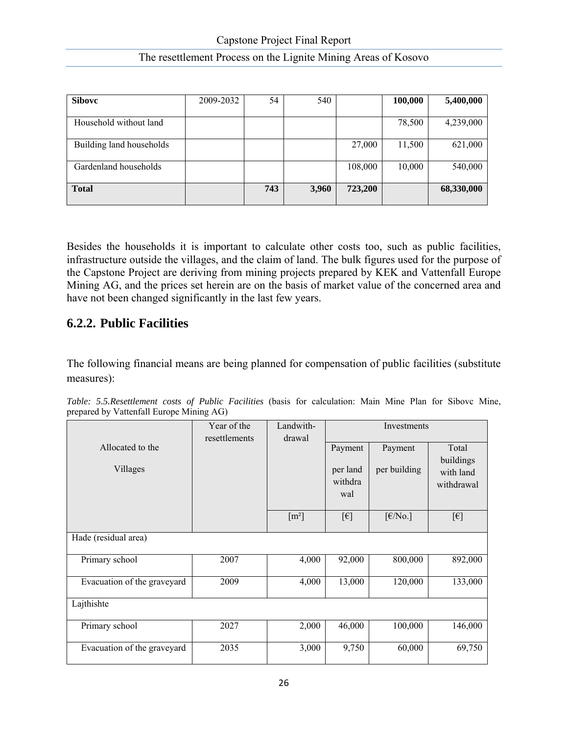| The resettlement Process on the Lignite Mining Areas of Kosovo |  |
|----------------------------------------------------------------|--|
|----------------------------------------------------------------|--|

| <b>Sibovc</b>            | 2009-2032 | 54  | 540   |         | 100,000 | 5,400,000  |
|--------------------------|-----------|-----|-------|---------|---------|------------|
|                          |           |     |       |         |         |            |
| Household without land   |           |     |       |         | 78,500  | 4,239,000  |
| Building land households |           |     |       | 27,000  | 11,500  | 621,000    |
| Gardenland households    |           |     |       | 108,000 | 10,000  | 540,000    |
| <b>Total</b>             |           | 743 | 3,960 | 723,200 |         | 68,330,000 |

Besides the households it is important to calculate other costs too, such as public facilities, infrastructure outside the villages, and the claim of land. The bulk figures used for the purpose of the Capstone Project are deriving from mining projects prepared by KEK and Vattenfall Europe Mining AG, and the prices set herein are on the basis of market value of the concerned area and have not been changed significantly in the last few years.

## **6.2.2. Public Facilities**

The following financial means are being planned for compensation of public facilities (substitute measures):

| Table: 5.5. Resettlement costs of Public Facilities (basis for calculation: Main Mine Plan for Sibovc Mine, |  |  |  |  |  |  |  |
|-------------------------------------------------------------------------------------------------------------|--|--|--|--|--|--|--|
| prepared by Vattenfall Europe Mining AG)                                                                    |  |  |  |  |  |  |  |

|                              | Year of the   | Landwith- | Investments                                                      |                                      |                                               |  |  |  |
|------------------------------|---------------|-----------|------------------------------------------------------------------|--------------------------------------|-----------------------------------------------|--|--|--|
| Allocated to the<br>Villages | resettlements | drawal    | Payment<br>Payment<br>per building<br>per land<br>withdra<br>wal |                                      | Total<br>buildings<br>with land<br>withdrawal |  |  |  |
|                              |               | $[m^2]$   | $[\in]$                                                          | $\lceil \frac{\epsilon}{N_0} \rceil$ | $[\epsilon]$                                  |  |  |  |
| Hade (residual area)         |               |           |                                                                  |                                      |                                               |  |  |  |
| Primary school               | 2007          | 4,000     | 92,000                                                           | 800,000                              | 892,000                                       |  |  |  |
| Evacuation of the graveyard  | 2009          | 4,000     | 13,000                                                           | 120,000                              | 133,000                                       |  |  |  |
| Lajthishte                   |               |           |                                                                  |                                      |                                               |  |  |  |
| Primary school               | 2027          | 2,000     | 46,000                                                           | 100,000                              | 146,000                                       |  |  |  |
| Evacuation of the graveyard  | 2035          | 3,000     | 9,750                                                            | 60,000                               | 69,750                                        |  |  |  |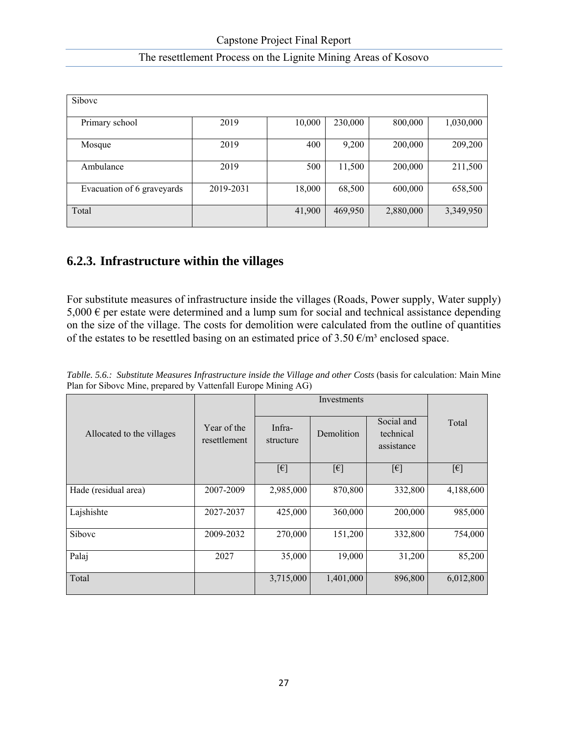| Sibovc                     |           |        |         |           |           |  |  |  |  |
|----------------------------|-----------|--------|---------|-----------|-----------|--|--|--|--|
| Primary school             | 2019      | 10,000 | 230,000 | 800,000   | 1,030,000 |  |  |  |  |
| Mosque                     | 2019      | 400    | 9,200   | 200,000   | 209,200   |  |  |  |  |
| Ambulance                  | 2019      | 500    | 11,500  | 200,000   | 211,500   |  |  |  |  |
| Evacuation of 6 graveyards | 2019-2031 | 18,000 | 68,500  | 600,000   | 658,500   |  |  |  |  |
| Total                      |           | 41,900 | 469,950 | 2,880,000 | 3,349,950 |  |  |  |  |

## **6.2.3. Infrastructure within the villages**

For substitute measures of infrastructure inside the villages (Roads, Power supply, Water supply)  $5,000 \in \text{per}$  estate were determined and a lump sum for social and technical assistance depending on the size of the village. The costs for demolition were calculated from the outline of quantities of the estates to be resettled basing on an estimated price of  $3.50 \text{ }\epsilon/\text{m}^3$  enclosed space.

|  |  | Tablle. 5.6.: Substitute Measures Infrastructure inside the Village and other Costs (basis for calculation: Main Mine |  |  |  |  |
|--|--|-----------------------------------------------------------------------------------------------------------------------|--|--|--|--|
|  |  | Plan for Sibovc Mine, prepared by Vattenfall Europe Mining AG)                                                        |  |  |  |  |

|                           |                             |                     | Investments  |                                       |                          |  |
|---------------------------|-----------------------------|---------------------|--------------|---------------------------------------|--------------------------|--|
| Allocated to the villages | Year of the<br>resettlement | Infra-<br>structure | Demolition   | Social and<br>technical<br>assistance | Total                    |  |
|                           |                             | $[\epsilon]$        | $[\epsilon]$ | $[\epsilon]$                          | $\lceil \epsilon \rceil$ |  |
| Hade (residual area)      | 2007-2009                   | 2,985,000           | 870,800      | 332,800                               | 4,188,600                |  |
| Lajshishte                | 2027-2037                   | 425,000             | 360,000      | 200,000                               | 985,000                  |  |
| Sibovc                    | 2009-2032                   | 270,000             | 151,200      | 332,800                               | 754,000                  |  |
| Palaj                     | 2027                        | 35,000              | 19,000       | 31,200                                | 85,200                   |  |
| Total                     |                             | 3,715,000           | 1,401,000    | 896,800                               | 6,012,800                |  |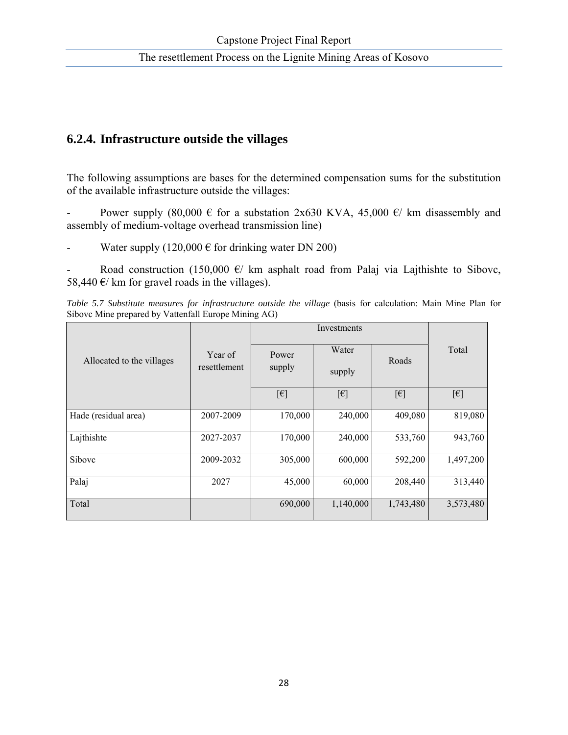## **6.2.4. Infrastructure outside the villages**

The following assumptions are bases for the determined compensation sums for the substitution of the available infrastructure outside the villages:

Power supply (80,000  $\epsilon$  for a substation 2x630 KVA, 45,000  $\epsilon$ / km disassembly and assembly of medium-voltage overhead transmission line)

Water supply (120,000  $\epsilon$  for drinking water DN 200)

Road construction (150,000  $\epsilon$ / km asphalt road from Palaj via Lajthishte to Sibovc, 58,440  $\varepsilon$ / km for gravel roads in the villages).

*Table 5.7 Substitute measures for infrastructure outside the village (basis for calculation: Main Mine Plan for* Sibovc Mine prepared by Vattenfall Europe Mining AG)

|                           |                         |                 | Investments              |              |              |  |  |
|---------------------------|-------------------------|-----------------|--------------------------|--------------|--------------|--|--|
| Allocated to the villages | Year of<br>resettlement | Power<br>supply | Water<br>Roads<br>supply |              | Total        |  |  |
|                           |                         | $[\epsilon]$    | $[\epsilon]$             | $[\epsilon]$ | $[\epsilon]$ |  |  |
| Hade (residual area)      | 2007-2009               | 170,000         | 240,000                  | 409,080      | 819,080      |  |  |
| Lajthishte                | 2027-2037               | 170,000         | 240,000                  | 533,760      | 943,760      |  |  |
| Sibovc                    | 2009-2032               | 305,000         | 600,000                  | 592,200      | 1,497,200    |  |  |
| Palaj                     | 2027                    | 45,000          | 60,000                   | 208,440      | 313,440      |  |  |
| Total                     |                         | 690,000         | 1,140,000                | 1,743,480    | 3,573,480    |  |  |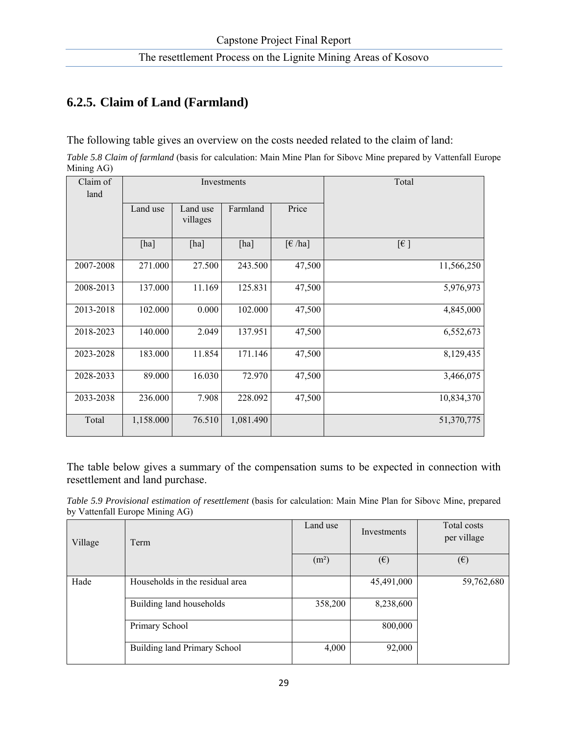## **6.2.5. Claim of Land (Farmland)**

The following table gives an overview on the costs needed related to the claim of land:

*Table 5.8 Claim of farmland* (basis for calculation: Main Mine Plan for Sibovc Mine prepared by Vattenfall Europe Mining AG)

| Claim of  |           |          | Investments | Total                         |            |
|-----------|-----------|----------|-------------|-------------------------------|------------|
| land      |           |          |             |                               |            |
|           | Land use  | Land use | Farmland    | Price                         |            |
|           |           | villages |             |                               |            |
|           | [ha]      | [ha]     | [ha]        | $\lceil \epsilon / ha \rceil$ | $[\in]$    |
| 2007-2008 | 271.000   | 27.500   | 243.500     | 47,500                        | 11,566,250 |
| 2008-2013 | 137.000   | 11.169   | 125.831     | 47,500                        | 5,976,973  |
| 2013-2018 | 102.000   | 0.000    | 102.000     | 47,500                        | 4,845,000  |
| 2018-2023 | 140.000   | 2.049    | 137.951     | 47,500                        | 6,552,673  |
| 2023-2028 | 183.000   | 11.854   | 171.146     | 47,500                        | 8,129,435  |
| 2028-2033 | 89.000    | 16.030   | 72.970      | 47,500                        | 3,466,075  |
| 2033-2038 | 236.000   | 7.908    | 228.092     | 47,500                        | 10,834,370 |
| Total     | 1,158.000 | 76.510   | 1,081.490   |                               | 51,370,775 |

The table below gives a summary of the compensation sums to be expected in connection with resettlement and land purchase.

*Table 5.9 Provisional estimation of resettlement* (basis for calculation: Main Mine Plan for Sibovc Mine, prepared by Vattenfall Europe Mining AG)

| Village | Term                            | Land use          | Investments  | Total costs<br>per village |
|---------|---------------------------------|-------------------|--------------|----------------------------|
|         |                                 | (m <sup>2</sup> ) | $(\epsilon)$ | $(\epsilon)$               |
| Hade    | Households in the residual area |                   | 45,491,000   | 59,762,680                 |
|         | Building land households        | 358,200           | 8,238,600    |                            |
|         | Primary School                  |                   | 800,000      |                            |
|         | Building land Primary School    | 4,000             | 92,000       |                            |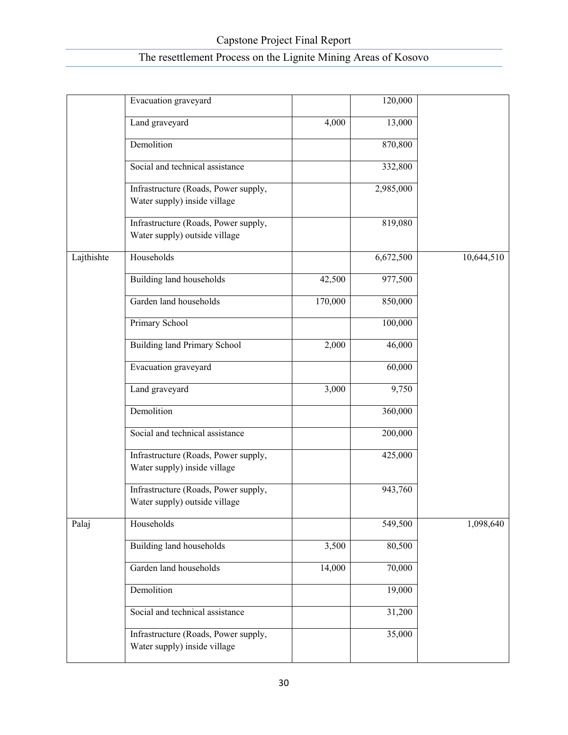|            | Evacuation graveyard                                                  |         | 120,000   |            |
|------------|-----------------------------------------------------------------------|---------|-----------|------------|
|            | Land graveyard                                                        | 4,000   | 13,000    |            |
|            | Demolition                                                            |         | 870,800   |            |
|            | Social and technical assistance                                       |         | 332,800   |            |
|            | Infrastructure (Roads, Power supply,<br>Water supply) inside village  |         | 2,985,000 |            |
|            | Infrastructure (Roads, Power supply,<br>Water supply) outside village |         | 819,080   |            |
| Lajthishte | Households                                                            |         | 6,672,500 | 10,644,510 |
|            | <b>Building land households</b>                                       | 42,500  | 977,500   |            |
|            | Garden land households                                                | 170,000 | 850,000   |            |
|            | Primary School                                                        |         | 100,000   |            |
|            | <b>Building land Primary School</b>                                   | 2,000   | 46,000    |            |
|            | Evacuation graveyard                                                  |         | 60,000    |            |
|            | Land graveyard                                                        | 3,000   | 9,750     |            |
|            | Demolition                                                            |         | 360,000   |            |
|            | Social and technical assistance                                       |         | 200,000   |            |
|            | Infrastructure (Roads, Power supply,<br>Water supply) inside village  |         | 425,000   |            |
|            | Infrastructure (Roads, Power supply,<br>Water supply) outside village |         | 943,760   |            |
| Palaj      | Households                                                            |         | 549,500   | 1,098,640  |
|            | Building land households                                              | 3,500   | 80,500    |            |
|            | Garden land households                                                | 14,000  | 70,000    |            |
|            | Demolition                                                            |         | 19,000    |            |
|            | Social and technical assistance                                       |         | 31,200    |            |
|            | Infrastructure (Roads, Power supply,<br>Water supply) inside village  |         | 35,000    |            |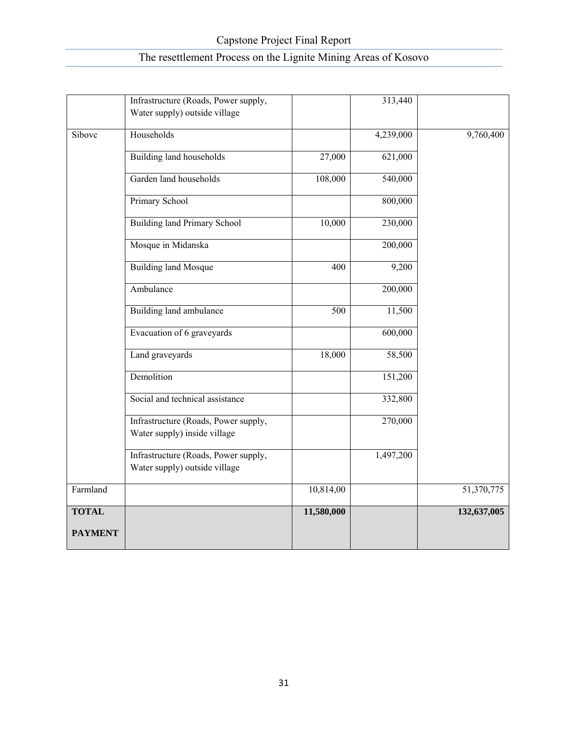| <b>PAYMENT</b> |                                                                       |                  |                    |             |
|----------------|-----------------------------------------------------------------------|------------------|--------------------|-------------|
| <b>TOTAL</b>   |                                                                       | 11,580,000       |                    | 132,637,005 |
| Farmland       |                                                                       | 10,814,00        |                    | 51,370,775  |
|                | Infrastructure (Roads, Power supply,<br>Water supply) outside village |                  | 1,497,200          |             |
|                |                                                                       |                  |                    |             |
|                | Infrastructure (Roads, Power supply,<br>Water supply) inside village  |                  | 270,000            |             |
|                | Social and technical assistance                                       |                  | 332,800            |             |
|                | Demolition                                                            |                  | 151,200            |             |
|                | Land graveyards                                                       | 18,000           | 58,500             |             |
|                | Evacuation of 6 graveyards                                            |                  | 600,000            |             |
|                | Building land ambulance                                               | $\overline{500}$ | 11,500             |             |
|                | Ambulance                                                             |                  | 200,000            |             |
|                | <b>Building land Mosque</b>                                           | 400              | $\overline{9,200}$ |             |
|                | Mosque in Midanska                                                    |                  | 200,000            |             |
|                | <b>Building land Primary School</b>                                   | 10,000           | 230,000            |             |
|                | Primary School                                                        |                  | 800,000            |             |
|                | Garden land households                                                | 108,000          | 540,000            |             |
|                | Building land households                                              | 27,000           | 621,000            |             |
| Sibovc         | Households                                                            |                  | 4,239,000          | 9,760,400   |
|                | Infrastructure (Roads, Power supply,<br>Water supply) outside village |                  | 313,440            |             |
|                |                                                                       |                  |                    |             |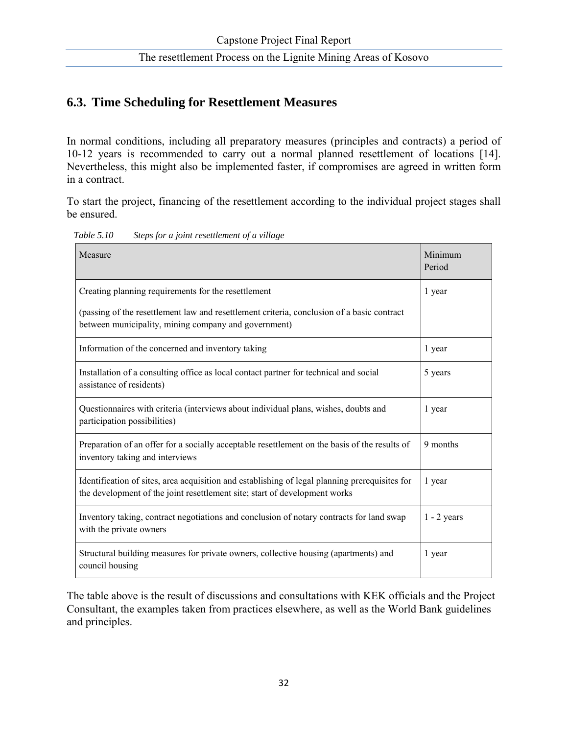### **6.3. Time Scheduling for Resettlement Measures**

In normal conditions, including all preparatory measures (principles and contracts) a period of 10-12 years is recommended to carry out a normal planned resettlement of locations [14]. Nevertheless, this might also be implemented faster, if compromises are agreed in written form in a contract.

To start the project, financing of the resettlement according to the individual project stages shall be ensured.

| Measure                                                                                                                                                                      | Minimum<br>Period |
|------------------------------------------------------------------------------------------------------------------------------------------------------------------------------|-------------------|
| Creating planning requirements for the resettlement                                                                                                                          | 1 year            |
| (passing of the resettlement law and resettlement criteria, conclusion of a basic contract<br>between municipality, mining company and government)                           |                   |
| Information of the concerned and inventory taking                                                                                                                            | 1 year            |
| Installation of a consulting office as local contact partner for technical and social<br>assistance of residents)                                                            | 5 years           |
| Questionnaires with criteria (interviews about individual plans, wishes, doubts and<br>participation possibilities)                                                          | 1 year            |
| Preparation of an offer for a socially acceptable resettlement on the basis of the results of<br>inventory taking and interviews                                             | 9 months          |
| Identification of sites, area acquisition and establishing of legal planning prerequisites for<br>the development of the joint resettlement site; start of development works | 1 year            |
| Inventory taking, contract negotiations and conclusion of notary contracts for land swap<br>with the private owners                                                          | $1 - 2$ years     |
| Structural building measures for private owners, collective housing (apartments) and<br>council housing                                                                      | 1 year            |

 *Table 5.10 Steps for a joint resettlement of a village* 

The table above is the result of discussions and consultations with KEK officials and the Project Consultant, the examples taken from practices elsewhere, as well as the World Bank guidelines and principles.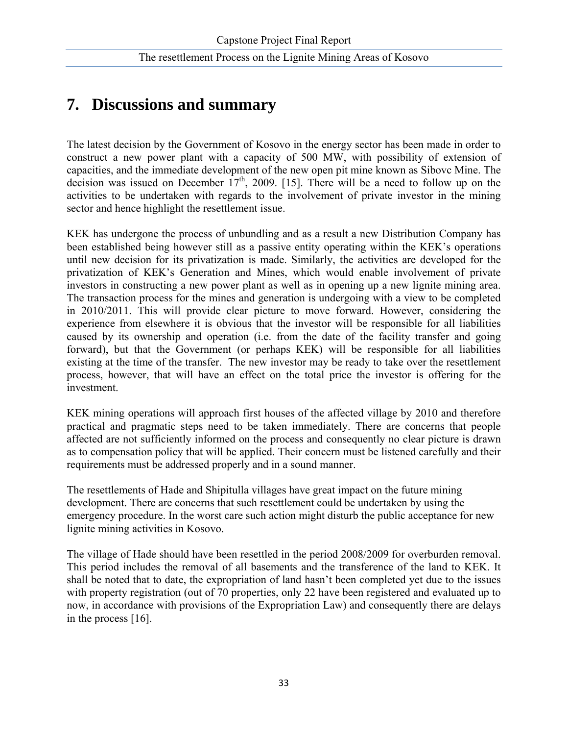# **7. Discussions and summary**

The latest decision by the Government of Kosovo in the energy sector has been made in order to construct a new power plant with a capacity of 500 MW, with possibility of extension of capacities, and the immediate development of the new open pit mine known as Sibovc Mine. The decision was issued on December  $17<sup>th</sup>$ , 2009. [15]. There will be a need to follow up on the activities to be undertaken with regards to the involvement of private investor in the mining sector and hence highlight the resettlement issue.

KEK has undergone the process of unbundling and as a result a new Distribution Company has been established being however still as a passive entity operating within the KEK's operations until new decision for its privatization is made. Similarly, the activities are developed for the privatization of KEK's Generation and Mines, which would enable involvement of private investors in constructing a new power plant as well as in opening up a new lignite mining area. The transaction process for the mines and generation is undergoing with a view to be completed in 2010/2011. This will provide clear picture to move forward. However, considering the experience from elsewhere it is obvious that the investor will be responsible for all liabilities caused by its ownership and operation (i.e. from the date of the facility transfer and going forward), but that the Government (or perhaps KEK) will be responsible for all liabilities existing at the time of the transfer. The new investor may be ready to take over the resettlement process, however, that will have an effect on the total price the investor is offering for the investment.

KEK mining operations will approach first houses of the affected village by 2010 and therefore practical and pragmatic steps need to be taken immediately. There are concerns that people affected are not sufficiently informed on the process and consequently no clear picture is drawn as to compensation policy that will be applied. Their concern must be listened carefully and their requirements must be addressed properly and in a sound manner.

The resettlements of Hade and Shipitulla villages have great impact on the future mining development. There are concerns that such resettlement could be undertaken by using the emergency procedure. In the worst care such action might disturb the public acceptance for new lignite mining activities in Kosovo.

The village of Hade should have been resettled in the period 2008/2009 for overburden removal. This period includes the removal of all basements and the transference of the land to KEK. It shall be noted that to date, the expropriation of land hasn't been completed yet due to the issues with property registration (out of 70 properties, only 22 have been registered and evaluated up to now, in accordance with provisions of the Expropriation Law) and consequently there are delays in the process [16].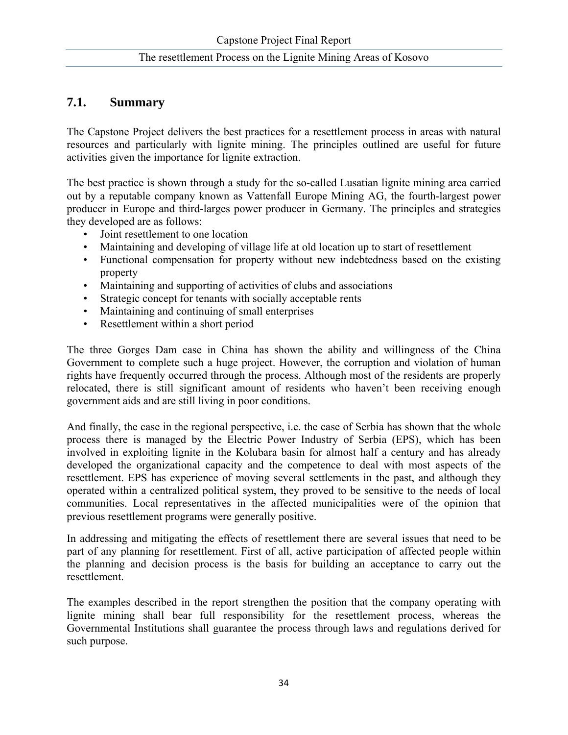### **7.1. Summary**

The Capstone Project delivers the best practices for a resettlement process in areas with natural resources and particularly with lignite mining. The principles outlined are useful for future activities given the importance for lignite extraction.

The best practice is shown through a study for the so-called Lusatian lignite mining area carried out by a reputable company known as Vattenfall Europe Mining AG, the fourth-largest power producer in Europe and third-larges power producer in Germany. The principles and strategies they developed are as follows:

- Joint resettlement to one location
- Maintaining and developing of village life at old location up to start of resettlement
- Functional compensation for property without new indebtedness based on the existing property
- Maintaining and supporting of activities of clubs and associations
- Strategic concept for tenants with socially acceptable rents
- Maintaining and continuing of small enterprises
- Resettlement within a short period

The three Gorges Dam case in China has shown the ability and willingness of the China Government to complete such a huge project. However, the corruption and violation of human rights have frequently occurred through the process. Although most of the residents are properly relocated, there is still significant amount of residents who haven't been receiving enough government aids and are still living in poor conditions.

And finally, the case in the regional perspective, i.e. the case of Serbia has shown that the whole process there is managed by the Electric Power Industry of Serbia (EPS), which has been involved in exploiting lignite in the Kolubara basin for almost half a century and has already developed the organizational capacity and the competence to deal with most aspects of the resettlement. EPS has experience of moving several settlements in the past, and although they operated within a centralized political system, they proved to be sensitive to the needs of local communities. Local representatives in the affected municipalities were of the opinion that previous resettlement programs were generally positive.

In addressing and mitigating the effects of resettlement there are several issues that need to be part of any planning for resettlement. First of all, active participation of affected people within the planning and decision process is the basis for building an acceptance to carry out the resettlement.

The examples described in the report strengthen the position that the company operating with lignite mining shall bear full responsibility for the resettlement process, whereas the Governmental Institutions shall guarantee the process through laws and regulations derived for such purpose.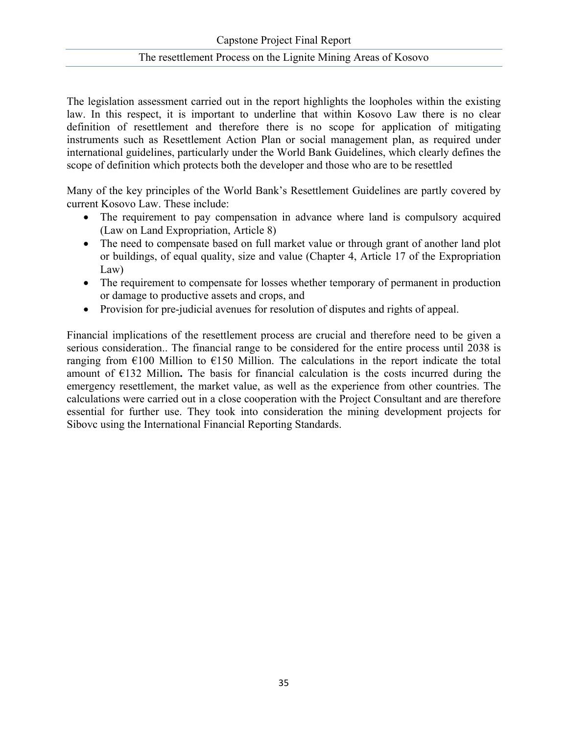The legislation assessment carried out in the report highlights the loopholes within the existing law. In this respect, it is important to underline that within Kosovo Law there is no clear definition of resettlement and therefore there is no scope for application of mitigating instruments such as Resettlement Action Plan or social management plan, as required under international guidelines, particularly under the World Bank Guidelines, which clearly defines the scope of definition which protects both the developer and those who are to be resettled

Many of the key principles of the World Bank's Resettlement Guidelines are partly covered by current Kosovo Law. These include:

- The requirement to pay compensation in advance where land is compulsory acquired (Law on Land Expropriation, Article 8)
- The need to compensate based on full market value or through grant of another land plot or buildings, of equal quality, size and value (Chapter 4, Article 17 of the Expropriation Law)
- The requirement to compensate for losses whether temporary of permanent in production or damage to productive assets and crops, and
- Provision for pre-judicial avenues for resolution of disputes and rights of appeal.

Financial implications of the resettlement process are crucial and therefore need to be given a serious consideration.. The financial range to be considered for the entire process until 2038 is ranging from  $\epsilon$ 100 Million to  $\epsilon$ 150 Million. The calculations in the report indicate the total amount of  $E132$  Million. The basis for financial calculation is the costs incurred during the emergency resettlement, the market value, as well as the experience from other countries. The calculations were carried out in a close cooperation with the Project Consultant and are therefore essential for further use. They took into consideration the mining development projects for Sibovc using the International Financial Reporting Standards.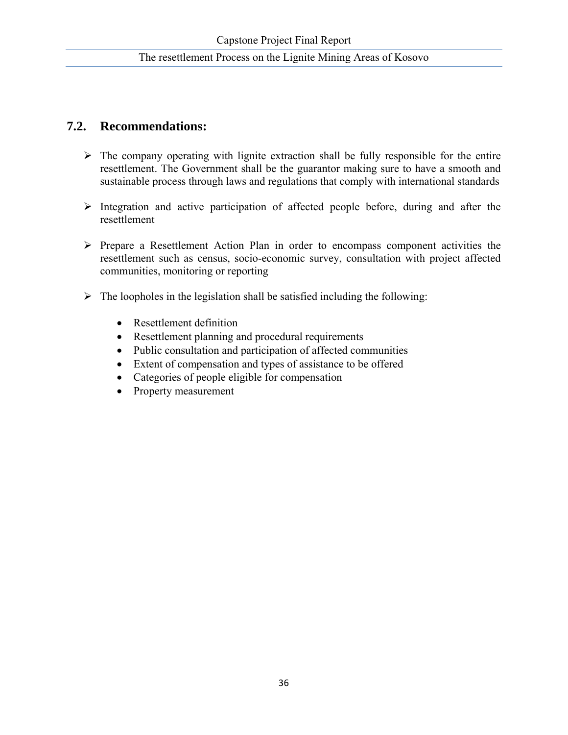## **7.2. Recommendations:**

- $\triangleright$  The company operating with lignite extraction shall be fully responsible for the entire resettlement. The Government shall be the guarantor making sure to have a smooth and sustainable process through laws and regulations that comply with international standards
- $\triangleright$  Integration and active participation of affected people before, during and after the resettlement
- ¾ Prepare a Resettlement Action Plan in order to encompass component activities the resettlement such as census, socio-economic survey, consultation with project affected communities, monitoring or reporting
- $\triangleright$  The loopholes in the legislation shall be satisfied including the following:
	- Resettlement definition
	- Resettlement planning and procedural requirements
	- Public consultation and participation of affected communities
	- Extent of compensation and types of assistance to be offered
	- Categories of people eligible for compensation
	- Property measurement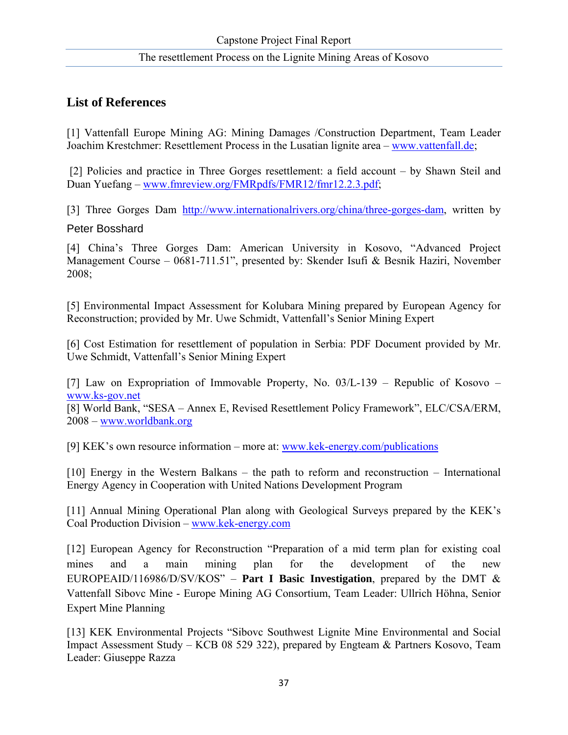## **List of References**

[1] Vattenfall Europe Mining AG: Mining Damages /Construction Department, Team Leader Joachim Krestchmer: Resettlement Process in the Lusatian lignite area – www.vattenfall.de;

 [2] Policies and practice in Three Gorges resettlement: a field account – by Shawn Steil and Duan Yuefang – www.fmreview.org/FMRpdfs/FMR12/fmr12.2.3.pdf;

[3] Three Gorges Dam http://www.internationalrivers.org/china/three-gorges-dam, written by

#### Peter Bosshard

[4] China's Three Gorges Dam: American University in Kosovo, "Advanced Project Management Course – 0681-711.51", presented by: Skender Isufi & Besnik Haziri, November 2008;

[5] Environmental Impact Assessment for Kolubara Mining prepared by European Agency for Reconstruction; provided by Mr. Uwe Schmidt, Vattenfall's Senior Mining Expert

[6] Cost Estimation for resettlement of population in Serbia: PDF Document provided by Mr. Uwe Schmidt, Vattenfall's Senior Mining Expert

[7] Law on Expropriation of Immovable Property, No. 03/L-139 – Republic of Kosovo – www.ks-gov.net

[8] World Bank, "SESA – Annex E, Revised Resettlement Policy Framework", ELC/CSA/ERM, 2008 – www.worldbank.org

[9] KEK's own resource information – more at: www.kek-energy.com/publications

[10] Energy in the Western Balkans – the path to reform and reconstruction – International Energy Agency in Cooperation with United Nations Development Program

[11] Annual Mining Operational Plan along with Geological Surveys prepared by the KEK's Coal Production Division – www.kek-energy.com

[12] European Agency for Reconstruction "Preparation of a mid term plan for existing coal mines and a main mining plan for the development of the new EUROPEAID/116986/D/SV/KOS" – **Part I Basic Investigation**, prepared by the DMT  $\&$ Vattenfall Sibovc Mine - Europe Mining AG Consortium, Team Leader: Ullrich Höhna, Senior Expert Mine Planning

[13] KEK Environmental Projects "Sibovc Southwest Lignite Mine Environmental and Social Impact Assessment Study – KCB 08 529 322), prepared by Engteam & Partners Kosovo, Team Leader: Giuseppe Razza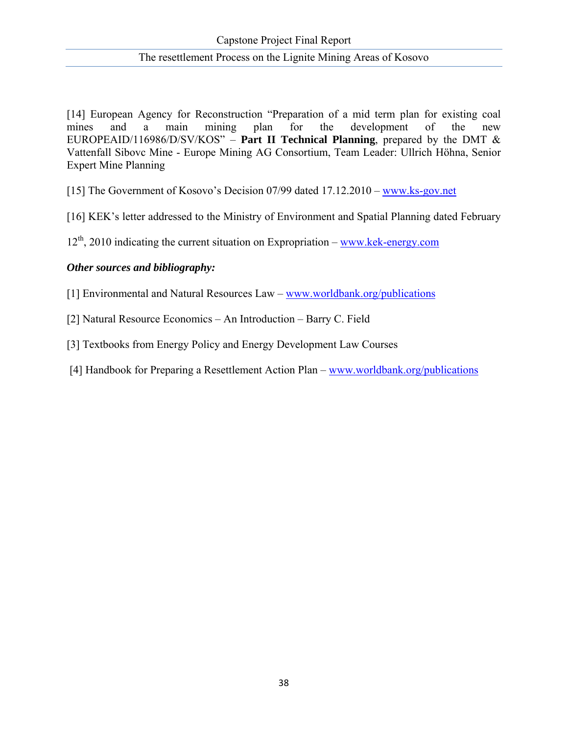[14] European Agency for Reconstruction "Preparation of a mid term plan for existing coal mines and a main mining plan for the development of the new EUROPEAID/116986/D/SV/KOS" – **Part II Technical Planning**, prepared by the DMT & Vattenfall Sibovc Mine - Europe Mining AG Consortium, Team Leader: Ullrich Höhna, Senior Expert Mine Planning

[15] The Government of Kosovo's Decision 07/99 dated 17.12.2010 – www.ks-gov.net

[16] KEK's letter addressed to the Ministry of Environment and Spatial Planning dated February

 $12<sup>th</sup>$ , 2010 indicating the current situation on Expropriation – www.kek-energy.com

#### *Other sources and bibliography:*

[1] Environmental and Natural Resources Law – www.worldbank.org/publications

[2] Natural Resource Economics – An Introduction – Barry C. Field

[3] Textbooks from Energy Policy and Energy Development Law Courses

[4] Handbook for Preparing a Resettlement Action Plan – www.worldbank.org/publications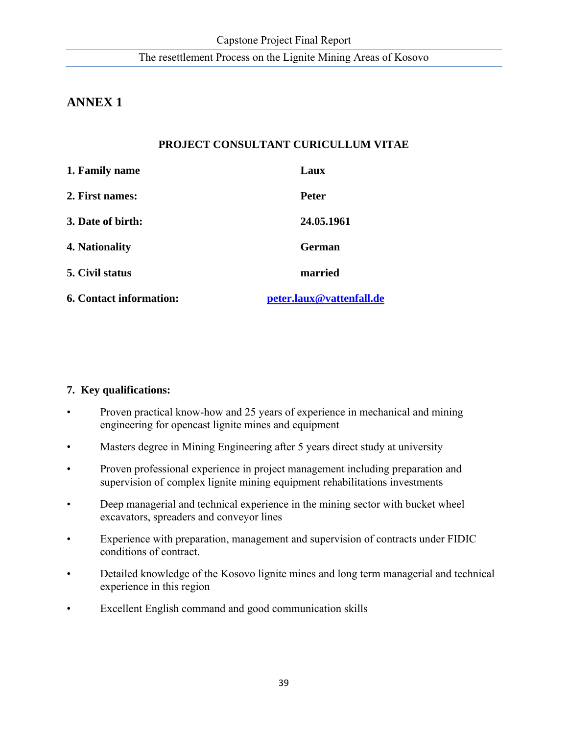## **ANNEX 1**

## **PROJECT CONSULTANT CURICULLUM VITAE**

| <b>6. Contact information:</b> | peter.laux@vattenfall.de |
|--------------------------------|--------------------------|
| 5. Civil status                | married                  |
| 4. Nationality                 | <b>German</b>            |
| 3. Date of birth:              | 24.05.1961               |
| 2. First names:                | <b>Peter</b>             |
| 1. Family name                 | Laux                     |

#### **7. Key qualifications:**

- Proven practical know-how and 25 years of experience in mechanical and mining engineering for opencast lignite mines and equipment
- Masters degree in Mining Engineering after 5 years direct study at university
- Proven professional experience in project management including preparation and supervision of complex lignite mining equipment rehabilitations investments
- Deep managerial and technical experience in the mining sector with bucket wheel excavators, spreaders and conveyor lines
- Experience with preparation, management and supervision of contracts under FIDIC conditions of contract.
- Detailed knowledge of the Kosovo lignite mines and long term managerial and technical experience in this region
- Excellent English command and good communication skills